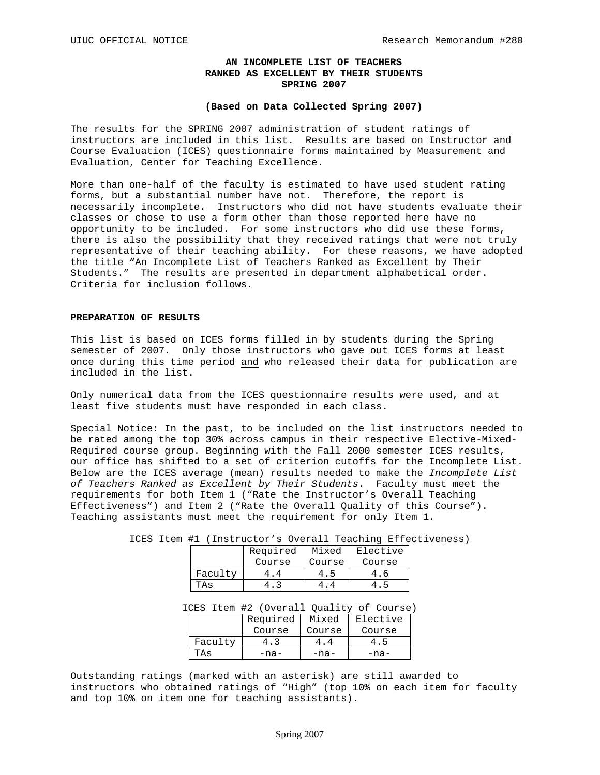### **AN INCOMPLETE LIST OF TEACHERS RANKED AS EXCELLENT BY THEIR STUDENTS SPRING 2007**

### **(Based on Data Collected Spring 2007)**

The results for the SPRING 2007 administration of student ratings of instructors are included in this list. Results are based on Instructor and Course Evaluation (ICES) questionnaire forms maintained by Measurement and Evaluation, Center for Teaching Excellence.

More than one-half of the faculty is estimated to have used student rating forms, but a substantial number have not. Therefore, the report is necessarily incomplete. Instructors who did not have students evaluate their classes or chose to use a form other than those reported here have no opportunity to be included. For some instructors who did use these forms, there is also the possibility that they received ratings that were not truly representative of their teaching ability. For these reasons, we have adopted the title "An Incomplete List of Teachers Ranked as Excellent by Their Students." The results are presented in department alphabetical order. Criteria for inclusion follows.

### **PREPARATION OF RESULTS**

This list is based on ICES forms filled in by students during the Spring semester of 2007. Only those instructors who gave out ICES forms at least once during this time period and who released their data for publication are included in the list.

Only numerical data from the ICES questionnaire results were used, and at least five students must have responded in each class.

Special Notice: In the past, to be included on the list instructors needed to be rated among the top 30% across campus in their respective Elective-Mixed-Required course group. Beginning with the Fall 2000 semester ICES results, our office has shifted to a set of criterion cutoffs for the Incomplete List. Below are the ICES average (mean) results needed to make the *Incomplete List of Teachers Ranked as Excellent by Their Students*. Faculty must meet the requirements for both Item 1 ("Rate the Instructor's Overall Teaching Effectiveness") and Item 2 ("Rate the Overall Quality of this Course"). Teaching assistants must meet the requirement for only Item 1.

|         | Required | Mixed  | Elective |
|---------|----------|--------|----------|
|         | Course   | Course | Course   |
| Faculty |          |        |          |
| TAs     |          |        |          |

ICES Item #1 (Instructor's Overall Teaching Effectiveness)

ICES Item #2 (Overall Quality of Course)

|         | Required | Mixed  | Elective |
|---------|----------|--------|----------|
|         | Course   | Course | Course   |
| Faculty |          |        |          |
| TAs     | -na-     | -na-   | -na-     |

Outstanding ratings (marked with an asterisk) are still awarded to instructors who obtained ratings of "High" (top 10% on each item for faculty and top 10% on item one for teaching assistants).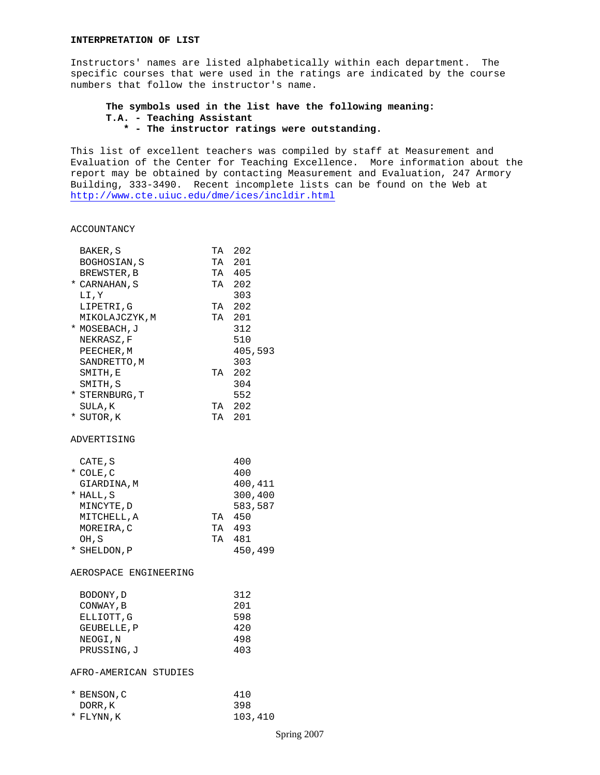Instructors' names are listed alphabetically within each department. The specific courses that were used in the ratings are indicated by the course numbers that follow the instructor's name.

## **The symbols used in the list have the following meaning: T.A. - Teaching Assistant \* - The instructor ratings were outstanding.**

This list of excellent teachers was compiled by staff at Measurement and Evaluation of the Center for Teaching Excellence. More information about the report may be obtained by contacting Measurement and Evaluation, 247 Armory Building, 333-3490. Recent incomplete lists can be found on the Web at <http://www.cte.uiuc.edu/dme/ices/incldir.html>

#### ACCOUNTANCY

| BAKER, S              |    | TA 202  |
|-----------------------|----|---------|
| BOGHOSIAN, S          |    | TA 201  |
| BREWSTER, B           |    | TA 405  |
| * CARNAHAN, S         | TA | 202     |
| LI, Y                 |    | 303     |
| LIPETRI,G             |    | TA 202  |
| MIKOLAJCZYK, M        | TA | 201     |
| * MOSEBACH, J         |    | 312     |
| NEKRASZ, F            |    | 510     |
| PEECHER, M            |    | 405,593 |
| SANDRETTO, M          |    | 303     |
| SMITH,E               | TA | 202     |
| SMITH, S              |    | 304     |
| * STERNBURG, T        |    | 552     |
| SULA, K               | TA | 202     |
| * SUTOR,K             |    | TA 201  |
| ADVERTISING           |    |         |
| CATE, S               |    | 400     |
| $*$ COLE, C           |    | 400     |
| GIARDINA, M           |    | 400,411 |
| * HALL, S             |    | 300,400 |
| MINCYTE, D            |    | 583,587 |
| MITCHELL, A           |    | TA 450  |
| MOREIRA, C            | TA | 493     |
| OH, S                 | TA | 481     |
| * SHELDON, P          |    | 450,499 |
| AEROSPACE ENGINEERING |    |         |
| BODONY, D             |    | 312     |
| CONWAY, B             |    | 201     |
| ELLIOTT, G            |    | 598     |
| GEUBELLE, P           |    | 420     |
| NEOGI, N              |    | 498     |
| PRUSSING, J           |    | 403     |
| AFRO-AMERICAN STUDIES |    |         |
| * BENSON, C           |    | 410     |
| DORR, K               |    | 398     |
| * FLYNN, K            |    | 103,410 |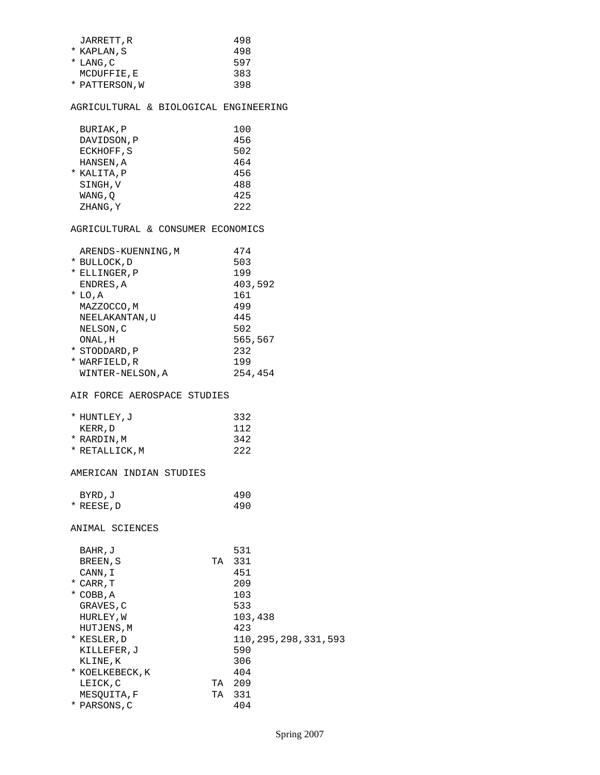| JARRETT, R     | 498 |
|----------------|-----|
| * KAPLAN, S    | 498 |
| $*$ LANG, C    | 597 |
| MCDUFFIE.E     | 383 |
| * PATTERSON, W | 398 |
|                |     |

## AGRICULTURAL & BIOLOGICAL ENGINEERING

| BURIAK, P   | 100 |
|-------------|-----|
| DAVIDSON, P | 456 |
| ECKHOFF, S  | 502 |
| HANSEN, A   | 464 |
| * KALITA, P | 456 |
| SINGH.V     | 488 |
| WANG,O      | 425 |
| ZHANG, Y    | 222 |

# AGRICULTURAL & CONSUMER ECONOMICS

|   | ARENDS-KUENNING, M | 474     |
|---|--------------------|---------|
|   | * BULLOCK, D       | 503     |
| * | ELLINGER, P        | 199     |
|   | ENDRES, A          | 403,592 |
|   | $*$ LO, A          | 161     |
|   | MAZZOCCO, M        | 499     |
|   | NEELAKANTAN, U     | 445     |
|   | NELSON, C          | 502     |
|   | ONAL , H           | 565,567 |
|   | * STODDARD, P      | 232     |
| * | WARFIELD, R        | 199     |
|   | WINTER-NELSON, A   | 254,454 |

### AIR FORCE AEROSPACE STUDIES

| * HUNTLEY, J   | 332 |
|----------------|-----|
| KERR, D        | 112 |
| * RARDIN, M    | 342 |
| * RETALLICK, M | 222 |

## AMERICAN INDIAN STUDIES

| BYRD, J    | 490 |
|------------|-----|
| * REESE, D | 490 |

ANIMAL SCIENCES

| BAHR, J         |    | 531                     |
|-----------------|----|-------------------------|
| BREEN, S        | TA | 331                     |
| CANN, I         |    | 451                     |
| * CARR, T       |    | 209                     |
| $*$ COBB, A     |    | 103                     |
| GRAVES, C       |    | 533                     |
| HURLEY, W       |    | 103,438                 |
| HUTJENS, M      |    | 423                     |
| * KESLER, D     |    | 110, 295, 298, 331, 593 |
| KILLEFER, J     |    | 590                     |
| KLINE, K        |    | 306                     |
| * KOELKEBECK, K |    | 404                     |
| LEICK, C        | TA | 209                     |
| MESOUITA, F     | TA | 331                     |
| * PARSONS, C    |    | 404                     |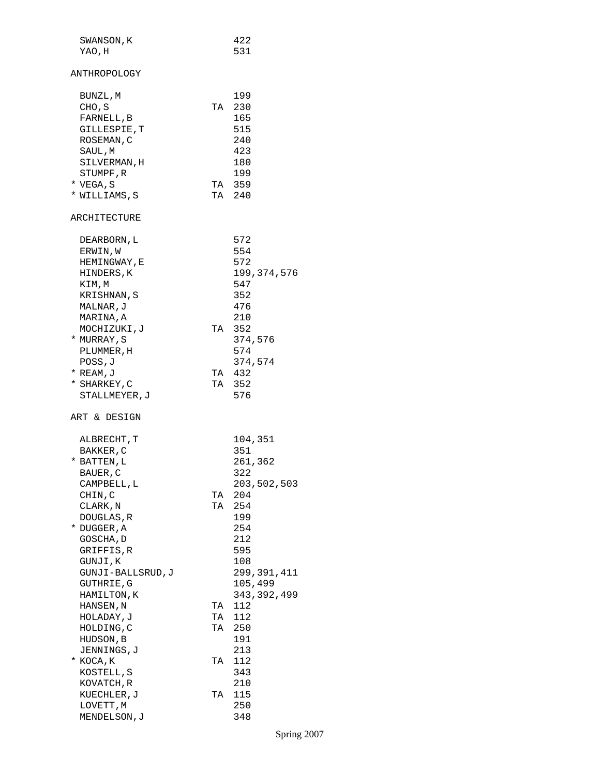| SWANSON, K        |    | 422           |
|-------------------|----|---------------|
| YAO,H             |    | 531           |
|                   |    |               |
| ANTHROPOLOGY      |    |               |
|                   |    |               |
| BUNZL,M           |    | 199           |
| CHO, S            |    | TA 230        |
| FARNELL, B        |    | 165           |
| GILLESPIE, T      |    | 515           |
| ROSEMAN, C        |    | 240           |
| SAUL, M           |    | 423           |
| SILVERMAN, H      |    | 180           |
| STUMPF, R         |    | 199           |
|                   |    | TA 359        |
| * VEGA, S         |    | TA 240        |
| * WILLIAMS, S     |    |               |
|                   |    |               |
| ARCHITECTURE      |    |               |
|                   |    |               |
| DEARBORN, L       |    | 572           |
| ERWIN, W          |    | 554           |
| HEMINGWAY, E      |    | 572           |
| HINDERS, K        |    | 199, 374, 576 |
| KIM,M             |    | 547           |
| KRISHNAN, S       |    | 352           |
| MALNAR, J         |    | 476           |
| MARINA, A         |    | 210           |
| MOCHIZUKI,J       |    | TA 352        |
| * MURRAY, S       |    | 374,576       |
| PLUMMER, H        |    | 574           |
| POSS, J           |    | 374,574       |
| $*$ REAM, $J$     |    | TA 432        |
|                   |    | TA 352        |
| * SHARKEY,C       |    |               |
| STALLMEYER, J     |    | 576           |
|                   |    |               |
| ART & DESIGN      |    |               |
|                   |    |               |
| ALBRECHT, T       |    | 104,351       |
| BAKKER, C         |    | 351           |
| * BATTEN, L       |    | 261,362       |
| BAUER, C          |    | 322           |
| CAMPBELL, L       |    | 203,502,503   |
| CHIN, C           | TA | 204           |
| CLARK, N          |    | TA 254        |
| DOUGLAS, R        |    | 199           |
| * DUGGER, A       |    | 254           |
| GOSCHA, D         |    | 212           |
| GRIFFIS, R        |    | 595           |
| GUNJI,K           |    | 108           |
|                   |    |               |
| GUNJI-BALLSRUD, J |    | 299, 391, 411 |
| GUTHRIE, G        |    | 105,499       |
| HAMILTON, K       |    | 343, 392, 499 |
| HANSEN, N         | TA | 112           |
| HOLADAY, J        |    | TA 112        |
| HOLDING, C        |    | TA 250        |
| HUDSON, B         |    | 191           |
| JENNINGS, J       |    | 213           |
| * KOCA, K         | TA | 112           |
| KOSTELL, S        |    | 343           |
| KOVATCH, R        |    | 210           |
| KUECHLER, J       | TA | 115           |
| LOVETT, M         |    | 250           |
| MENDELSON, J      |    | 348           |
|                   |    |               |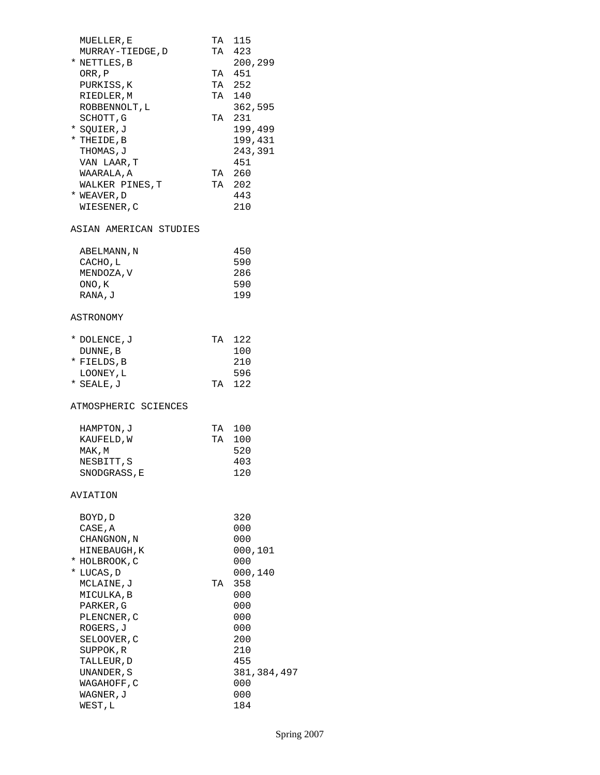| MUELLER, E<br>MURRAY-TIEDGE, D<br>* NETTLES, B<br>ORR , ${\tt P}$<br>PURKISS, K<br>RIEDLER, M<br>ROBBENNOLT, L<br>SCHOTT, G<br>* SQUIER,J<br>* THEIDE, B<br>THOMAS, J<br>VAN LAAR, T<br>WAARALA, A<br>WALKER PINES, T<br>* WEAVER, D<br>WIESENER, C |    | TA 115<br>TA 423<br>200,299<br>TA 451<br>TA 252<br>TA 140<br>362,595<br>TA 231<br>199,499<br>199,431<br>243,391<br>451<br>TA 260<br>TA 202<br>443<br>210 |
|-----------------------------------------------------------------------------------------------------------------------------------------------------------------------------------------------------------------------------------------------------|----|----------------------------------------------------------------------------------------------------------------------------------------------------------|
| ASIAN AMERICAN STUDIES                                                                                                                                                                                                                              |    |                                                                                                                                                          |
| ABELMANN, N<br>CACHO, L<br>MENDOZA, V<br>ONO, K<br>RANA, J                                                                                                                                                                                          |    | 450<br>590<br>286<br>590<br>199                                                                                                                          |
| ASTRONOMY                                                                                                                                                                                                                                           |    |                                                                                                                                                          |
| * DOLENCE, J<br>DUNNE, B<br>* FIELDS,B<br>LOONEY, L<br>* SEALE,J                                                                                                                                                                                    |    | TA 122<br>100<br>210<br>596<br>TA 122                                                                                                                    |
| ATMOSPHERIC SCIENCES                                                                                                                                                                                                                                |    |                                                                                                                                                          |
| HAMPTON, J<br>KAUFELD, W<br>MAK, M<br>NESBITT, S<br>SNODGRASS, E                                                                                                                                                                                    |    | TA 100<br>TA 100<br>520<br>403<br>120                                                                                                                    |
| AVIATION                                                                                                                                                                                                                                            |    |                                                                                                                                                          |
| BOYD, D<br>CASE, A<br>CHANGNON , N<br>HINEBAUGH, K<br>* HOLBROOK, C<br>* LUCAS, D<br>MCLAINE,J<br>MICULKA, B<br>PARKER, G<br>PLENCNER, C<br>ROGERS, J<br>SELOOVER, C<br>SUPPOK, R<br>TALLEUR, D<br>UNANDER, S<br>WAGAHOFF, C<br>WAGNER, J<br>WEST,L | TA | 320<br>000<br>000<br>000,101<br>000<br>000,140<br>358<br>000<br>000<br>000<br>000<br>200<br>210<br>455<br>381,384,497<br>000<br>000<br>184               |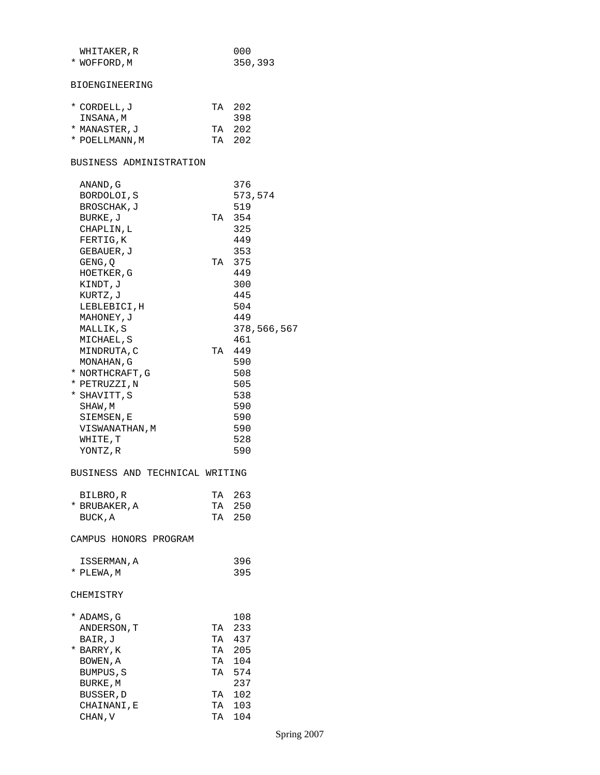| WHITAKER, R                    |    | 000         |
|--------------------------------|----|-------------|
| * WOFFORD, M                   |    | 350,393     |
|                                |    |             |
| BIOENGINEERING                 |    |             |
|                                |    |             |
| * CORDELL, J                   |    | TA 202      |
| INSANA, M                      |    | 398         |
| * MANASTER,J                   |    | TA 202      |
| * POELLMANN, M                 |    | TA 202      |
|                                |    |             |
| BUSINESS ADMINISTRATION        |    |             |
|                                |    |             |
| ANAND, G                       |    | 376         |
| BORDOLOI, S                    |    | 573,574     |
| BROSCHAK, J                    |    | 519         |
| BURKE, J                       |    | TA 354      |
| CHAPLIN, L                     |    | 325         |
| FERTIG, K                      |    | 449         |
| GEBAUER, J                     |    | 353         |
| GENG, Q                        |    | TA 375      |
| HOETKER, G                     |    | 449         |
| KINDT, J                       |    | 300         |
| KURTZ, J                       |    | 445         |
| LEBLEBICI, H                   |    | 504         |
| MAHONEY, J                     |    | 449         |
| MALLIK,S                       |    | 378,566,567 |
| MICHAEL, S                     |    | 461         |
| MINDRUTA, C                    |    | TA 449      |
| MONAHAN, G                     |    | 590         |
| * NORTHCRAFT, G                |    | 508         |
| * PETRUZZI,N                   |    | 505         |
|                                |    |             |
| * SHAVITT, S                   |    | 538         |
| SHAW, M                        |    | 590         |
| SIEMSEN,E                      |    | 590         |
| VISWANATHAN, M                 |    | 590         |
| WHITE,T                        |    | 528         |
| YONTZ, R                       |    | 590         |
| BUSINESS AND TECHNICAL WRITING |    |             |
| BILBRO,R                       |    | TA 263      |
| * BRUBAKER, A                  | TA | 250         |
| BUCK, A                        |    | TA 250      |
|                                |    |             |
| CAMPUS HONORS PROGRAM          |    |             |
| ISSERMAN, A                    |    | 396         |
| * PLEWA.M                      |    | 395         |
| CHEMISTRY                      |    |             |
|                                |    |             |
| * ADAMS, G                     |    | 108         |
| ANDERSON, T                    | TA | 233         |
| BAIR,J                         |    | TA 437      |
| * BARRY,K                      |    | TA 205      |
| BOWEN, A                       |    | TA 104      |
| BUMPUS, S                      |    | TA 574      |
| BURKE, M                       |    | 237         |
| BUSSER, D                      |    | TA 102      |
| CHAINANI,E                     | TA | 103         |
| CHAN, V                        |    | TA 104      |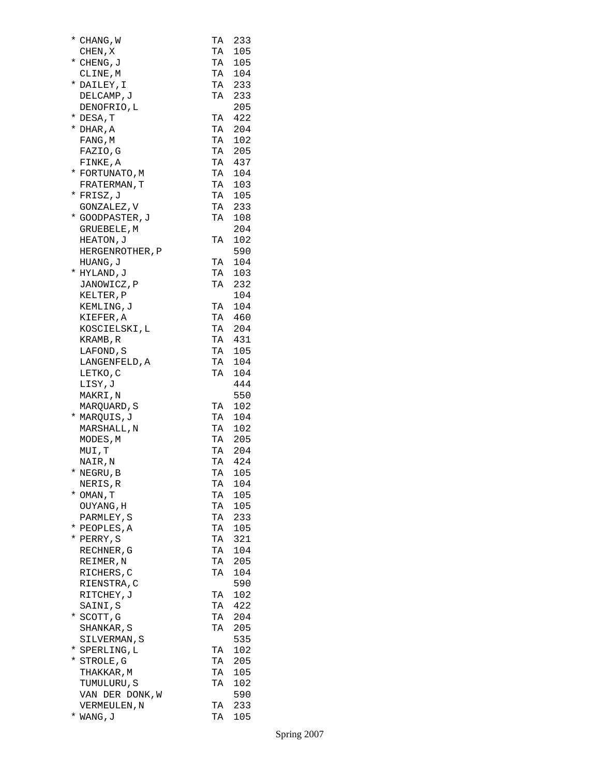| * CHANG, W      |    | TA 233     |
|-----------------|----|------------|
| CHEN, X         |    | TA 105     |
| * CHENG, J      | TA | 105        |
| CLINE, M        | TA | 104        |
| * DAILEY, I     | TA | 233        |
| DELCAMP, J      |    | TA 233     |
| DENOFRIO, L     |    | 205        |
| * DESA,T        |    | TA 422     |
| $*$ DHAR, A     |    | TA 204     |
| FANG, M         |    | TA 102     |
| FAZIO, G        |    | TA 205     |
| FINKE, A        | TA | 437        |
| * FORTUNATO, M  | TA | 104        |
| FRATERMAN, T    |    | TA 103     |
| * FRISZ, J      |    | TA 105     |
| GONZALEZ, V     |    | TA 233     |
| * GOODPASTER, J |    | TA 108     |
| GRUEBELE, M     |    | 204        |
| HEATON, J       |    | TA 102     |
| HERGENROTHER, P |    | 590        |
| HUANG, J        | TA | 104        |
| * HYLAND, J     | TA | 103        |
| JANOWICZ, P     | TA | 232        |
| KELTER, P       |    | 104        |
| KEMLING, J      |    | TA 104     |
| KIEFER, A       |    | TA 460     |
| KOSCIELSKI, L   |    | TA 204     |
| KRAMB, R        |    | TA 431     |
| LAFOND, S       |    | TA 105     |
| LANGENFELD, A   | TA | 104        |
| LETKO, C        | TA | 104        |
| LISY, J         |    | 444        |
| MAKRI, N        |    | 550        |
| MARQUARD, S     |    | TA 102     |
| * MARQUIS, J    |    | TA 104     |
| MARSHALL, N     |    | TA 102     |
| MODES, M        |    | TA 205     |
| MUI, T          |    | TA 204     |
| NAIR, N         | TA | 424        |
| * NEGRU, B      | TA | 105        |
| NERIS, R        | TA | 104        |
| * OMAN, T       | TA | 105        |
| OUYANG, H       | TA | 105        |
| PARMLEY, S      |    | TA 233     |
| * PEOPLES, A    |    | TA 105     |
| * PERRY, S      | TA | 321        |
| RECHNER, G      | TA | 104        |
| REIMER, N       | TA | 205        |
| RICHERS, C      | TA | 104        |
| RIENSTRA, C     |    | 590        |
| RITCHEY, J      | TA | 102        |
| SAINI, S        | TA | 422        |
| * SCOTT,G       | TA | 204        |
| SHANKAR, S      | TA | 205        |
| SILVERMAN, S    |    | 535        |
| * SPERLING, L   | TA | 102        |
| * STROLE, G     | TA | 205        |
| THAKKAR, M      | TA | 105        |
| TUMULURU, S     | TA | 102        |
| VAN DER DONK, W |    | 590<br>233 |
| VERMEULEN, N    | TA |            |
| * WANG, J       | TA | 105        |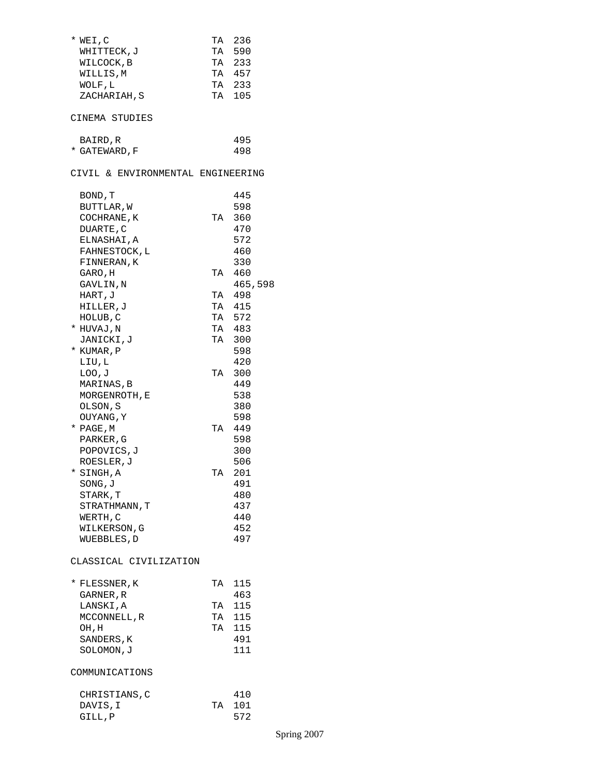| * WEI, C<br>WHITTECK, J<br>WILCOCK, B<br>WILLIS,M<br>WOLF, L<br>ZACHARIAH, S<br>CINEMA STUDIES<br>BAIRD,R | TA | TA 236<br>590<br>TA 233<br>TA 457<br>TA 233<br>TA 105<br>495 |
|-----------------------------------------------------------------------------------------------------------|----|--------------------------------------------------------------|
| * GATEWARD, F                                                                                             |    | 498                                                          |
| CIVIL & ENVIRONMENTAL ENGINEERING                                                                         |    |                                                              |
| BOND, T<br>BUTTLAR, W<br>COCHRANE, K<br>DUARTE, C<br>ELNASHAI, A<br>FAHNESTOCK, L                         | TA | 445<br>598<br>360<br>470<br>572<br>460                       |
| FINNERAN, K<br>GARO , H<br>GAVLIN, N                                                                      |    | 330<br>TA 460<br>465,598                                     |
| HART, J                                                                                                   |    | TA 498                                                       |
| HILLER,J                                                                                                  |    | TA 415                                                       |
| HOLUB,C                                                                                                   |    | TA 572                                                       |
| * HUVAJ , N                                                                                               |    | TA 483                                                       |
| JANICKI,J                                                                                                 | TA | 300                                                          |
| * KUMAR, P                                                                                                |    | 598                                                          |
| LIU, L                                                                                                    |    | 420                                                          |
| LOO, J                                                                                                    |    | TA 300                                                       |
| MARINAS,B                                                                                                 |    | 449                                                          |
| MORGENROTH, E                                                                                             |    | 538                                                          |
| OLSON, S                                                                                                  |    | 380                                                          |
|                                                                                                           |    | 598                                                          |
| OUYANG, Y                                                                                                 | TA | 449                                                          |
| * PAGE,M                                                                                                  |    | 598                                                          |
| PARKER, G                                                                                                 |    |                                                              |
| POPOVICS, J                                                                                               |    | 300                                                          |
| ROESLER, J<br>*                                                                                           |    | 506<br>201                                                   |
| SINGH, A                                                                                                  | TA |                                                              |
| SONG,J                                                                                                    |    | 491                                                          |
| STARK, T                                                                                                  |    | 480                                                          |
| STRATHMANN, T                                                                                             |    | 437                                                          |
| WERTH,C                                                                                                   |    | 440                                                          |
| WILKERSON, G                                                                                              |    | 452                                                          |
| WUEBBLES, D                                                                                               |    | 497                                                          |
| CLASSICAL CIVILIZATION                                                                                    |    |                                                              |
| * FLESSNER,K                                                                                              | TA | 115                                                          |
| GARNER , R                                                                                                |    | 463                                                          |
| LANSKI,A                                                                                                  | TA | 115                                                          |
| MCCONNELL, R                                                                                              | TA | 115                                                          |
| OH, H                                                                                                     | TA | 115                                                          |
| SANDERS, K                                                                                                |    | 491                                                          |
| SOLOMON, J                                                                                                |    | 111                                                          |
| COMMUNICATIONS                                                                                            |    |                                                              |
| CHRISTIANS, C                                                                                             |    | 410                                                          |
| DAVIS, I                                                                                                  | TA | 101                                                          |
| GILL, P                                                                                                   |    | 572                                                          |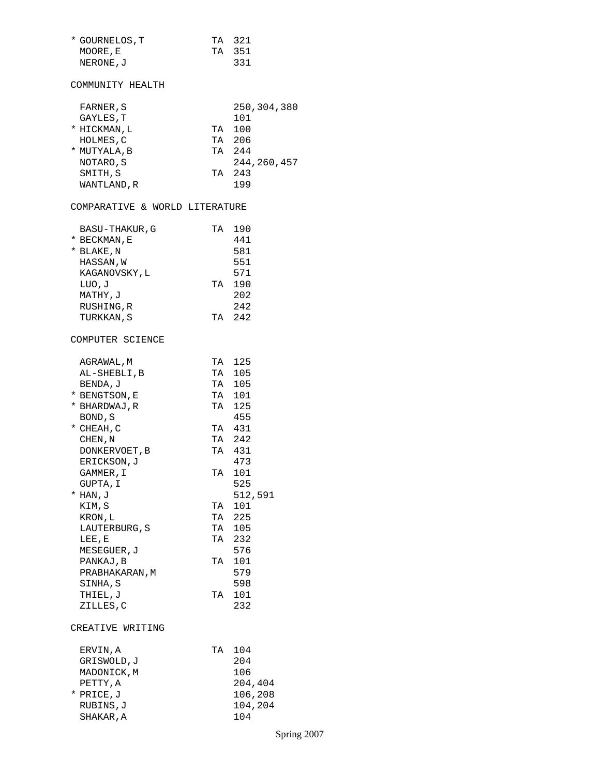| * GOURNELOS, T                 |    | TA 321      |
|--------------------------------|----|-------------|
| MOORE, E                       |    | TA 351      |
| NERONE, J                      |    | 331         |
|                                |    |             |
| COMMUNITY HEALTH               |    |             |
|                                |    |             |
|                                |    |             |
| FARNER , S                     |    | 250,304,380 |
| GAYLES, T                      |    | 101         |
| * HICKMAN, L                   |    | TA 100      |
| HOLMES, C                      |    | TA 206      |
| * MUTYALA, B                   |    | TA 244      |
| NOTARO, S                      |    | 244,260,457 |
|                                |    |             |
| SMITH, S                       |    | TA 243      |
| WANTLAND, R                    |    | 199         |
|                                |    |             |
| COMPARATIVE & WORLD LITERATURE |    |             |
|                                |    | TA 190      |
| BASU-THAKUR, G                 |    |             |
| * BECKMAN, E                   |    | 441         |
| * BLAKE,N                      |    | 581         |
| HASSAN,W                       |    | 551         |
| KAGANOVSKY, L                  |    | 571         |
| LUO,J                          |    | TA 190      |
| MATHY, J                       |    | 202         |
|                                |    |             |
| RUSHING, R                     |    | 242         |
| TURKKAN, S                     |    | TA 242      |
| COMPUTER SCIENCE               |    |             |
|                                |    |             |
| AGRAWAL, M                     |    | TA 125      |
| AL-SHEBLI,B                    |    | TA 105      |
| BENDA, J                       |    | TA 105      |
| * BENGTSON, E                  |    | TA 101      |
| * BHARDWAJ, R                  |    | TA 125      |
| BOND, S                        |    | 455         |
|                                |    | TA 431      |
| * CHEAH, C                     |    |             |
| CHEN, N                        |    | TA 242      |
| DONKERVOET, B                  |    | TA 431      |
| ERICKSON, J                    |    | 473         |
| GAMMER, I                      |    | TA 101      |
| GUPTA, I                       |    | 525         |
| * HAN, J                       |    | 512,591     |
|                                |    | 101         |
| KIM, S                         | TA |             |
| KRON, L                        | TA | 225         |
| LAUTERBURG, S                  |    | TA 105      |
| LEE, E                         |    | TA 232      |
| MESEGUER, J                    |    | 576         |
| PANKAJ, B                      |    | TA 101      |
|                                |    | 579         |
| PRABHAKARAN, M                 |    |             |
| SINHA,S                        |    | 598         |
| THIEL,J                        | TA | 101         |
| ZILLES, C                      |    | 232         |
| CREATIVE WRITING               |    |             |
|                                |    |             |
| ERVIN, A                       | TA | 104         |
| GRISWOLD,J                     |    | 204         |
| MADONICK,M                     |    | 106         |
|                                |    |             |
| PETTY, A                       |    | 204,404     |
| * PRICE, J                     |    | 106,208     |
| RUBINS,J                       |    | 104,204     |
| SHAKAR, A                      |    | 104         |
|                                |    |             |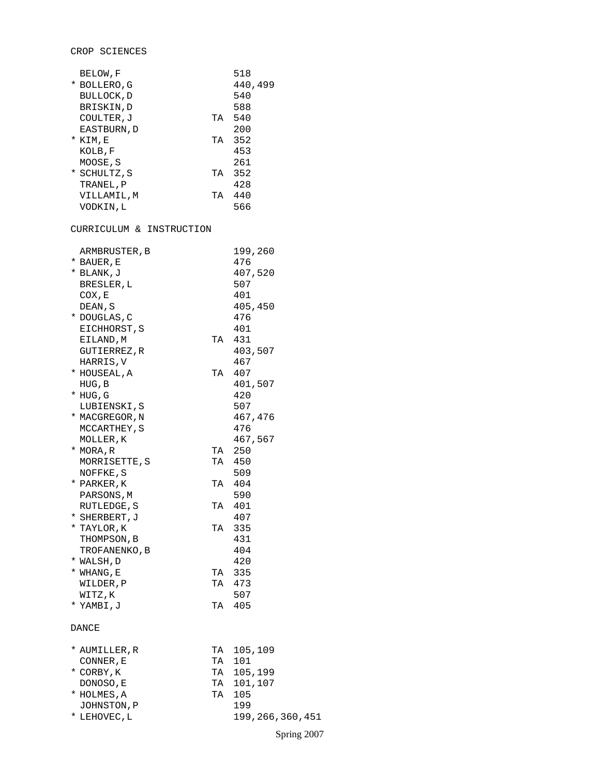# CROP SCIENCES

| BELOW, F                 |    | 518             |
|--------------------------|----|-----------------|
| * BOLLERO,G              |    | 440,499         |
| BULLOCK, D               |    | 540             |
| BRISKIN,D                |    | 588             |
| COULTER, J               |    | TA 540          |
| EASTBURN, D              |    | 200             |
| * KIM,E                  |    | TA 352          |
| KOLB, F                  |    | 453             |
| MOOSE,S                  |    | 261             |
| * SCHULTZ, S             | TA | 352             |
|                          |    | 428             |
| TRANEL, P                |    |                 |
| VILLAMIL,M               |    | TA 440          |
| VODKIN,L                 |    | 566             |
|                          |    |                 |
| CURRICULUM & INSTRUCTION |    |                 |
|                          |    |                 |
| ARMBRUSTER, B            |    | 199,260         |
| * BAUER, E               |    | 476             |
| * BLANK,J                |    | 407,520         |
| BRESLER, L               |    | 507             |
| COX, E                   |    | 401             |
| DEAN, S                  |    | 405,450         |
| * DOUGLAS, C             |    | 476             |
| EICHHORST, S             |    | 401             |
| EILAND, M                |    | TA 431          |
| GUTIERREZ,R              |    | 403,507         |
| HARRIS, V                |    | 467             |
| * HOUSEAL, A             | TA | 407             |
| HUG, B                   |    | 401,507         |
| $*$ HUG, G               |    | 420             |
|                          |    |                 |
| LUBIENSKI,S              |    | 507             |
| * MACGREGOR, N           |    | 467,476         |
| MCCARTHEY, S             |    | 476             |
| MOLLER, K                |    | 467,567         |
| * MORA,R                 |    | TA 250          |
| MORRISETTE, S            |    | TA 450          |
| NOFFKE, S                |    | 509             |
| * PARKER, K              |    | TA 404          |
| PARSONS, M               |    | 590             |
| RUTLEDGE, S              |    | TA 401          |
| * SHERBERT, J            |    | 407             |
| * TAYLOR,K               | TA | 335             |
| THOMPSON, B              |    | 431             |
| TROFANENKO, B            |    | 404             |
| * WALSH, D               |    | 420             |
| $*$ WHANG, E             | TA | 335             |
|                          | TA | 473             |
| WILDER, P                |    |                 |
| WITZ, K                  |    | 507             |
| * YAMBI, J               | TA | 405             |
| DANCE                    |    |                 |
|                          |    |                 |
| * AUMILLER,R             | TA | 105,109         |
| CONNER, E                | TA | 101             |
|                          | TA | 105,199         |
| * CORBY, K               |    | 101,107         |
| DONOSO, E                | TA |                 |
| * HOLMES, A              | TA | 105             |
| JOHNSTON, P              |    | 199             |
| * LEHOVEC, L             |    | 199,266,360,451 |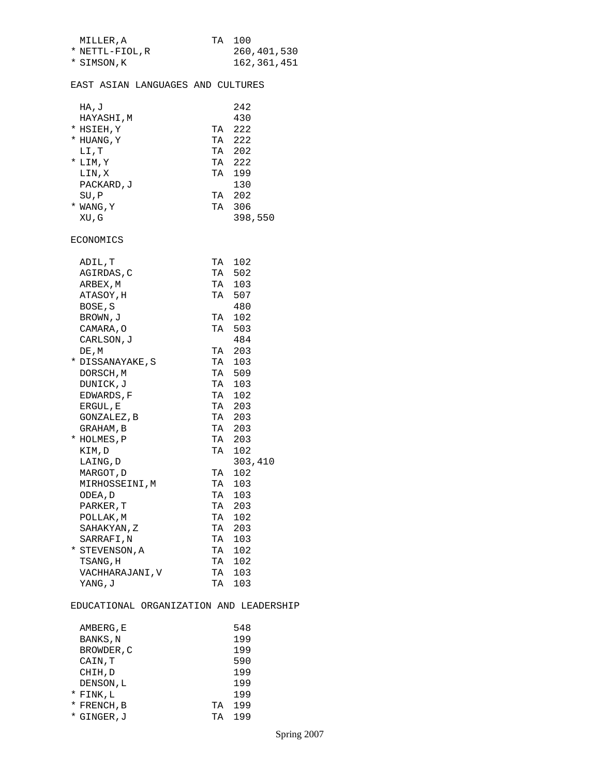| MILLER.A       | TA 100 |             |
|----------------|--------|-------------|
| * NETTL-FIOL.R |        | 260,401,530 |
| * SIMSON, K    |        | 162,361,451 |

## EAST ASIAN LANGUAGES AND CULTURES

| HA,J       |    | 2.42    |
|------------|----|---------|
| HAYASHI, M |    | 430     |
| * HSIEH, Y | TA | 222     |
| * HUANG, Y | TA | 222     |
| LI,T       | TА | 202     |
| $*$ LIM, Y | TА | 222     |
| LIN,X      | TA | 199     |
| PACKARD, J |    | 130     |
| SU, P      | TА | 202     |
| * WANG, Y  | TА | 306     |
| XU,G       |    | 398,550 |

### ECONOMICS

| ADIL,T           | TA | 102     |
|------------------|----|---------|
| AGIRDAS, C       |    | TA 502  |
| ARBEX, M         |    | TA 103  |
| ATASOY, H        | TA | 507     |
| BOSE, S          |    | 480     |
| BROWN, J         | TA | 102     |
| CAMARA, O        | TA | 503     |
| CARLSON, J       |    | 484     |
| DE, M            |    | TA 203  |
| * DISSANAYAKE, S | TA | 103     |
| DORSCH, M        |    | TA 509  |
| DUNICK, J        | TA | 103     |
| EDWARDS, F       |    | TA 102  |
| ERGUL, E         |    | TA 203  |
| GONZALEZ, B      |    | TA 203  |
| GRAHAM, B        |    | TA 203  |
| * HOLMES, P      |    | TA 203  |
| KIM, D           |    | TA 102  |
| LAING, D         |    | 303,410 |
| MARGOT, D        | TA | 102     |
| MIRHOSSEINI, M   | TA | 103     |
| ODEA, D          |    | TA 103  |
| PARKER, T        |    | TA 203  |
| POLLAK, M        | TA | 102     |
| SAHAKYAN, Z      |    | TA 203  |
| SARRAFI,N        |    | TA 103  |
| * STEVENSON, A   |    | TA 102  |
| TSANG, H         | TA | 102     |
| VACHHARAJANI, V  |    | TA 103  |
| YANG, J          | TA | 103     |

## EDUCATIONAL ORGANIZATION AND LEADERSHIP

|   | AMBERG, E   |    | 548 |
|---|-------------|----|-----|
|   | BANKS, N    |    | 199 |
|   | BROWDER, C  |    | 199 |
|   | CAIN, T     |    | 590 |
|   | CHIH, D     |    | 199 |
|   | DENSON, L   |    | 199 |
|   | * FINK, L   |    | 199 |
|   | * FRENCH, B | TА | 199 |
| * | GINGER, J   | TА | 199 |
|   |             |    |     |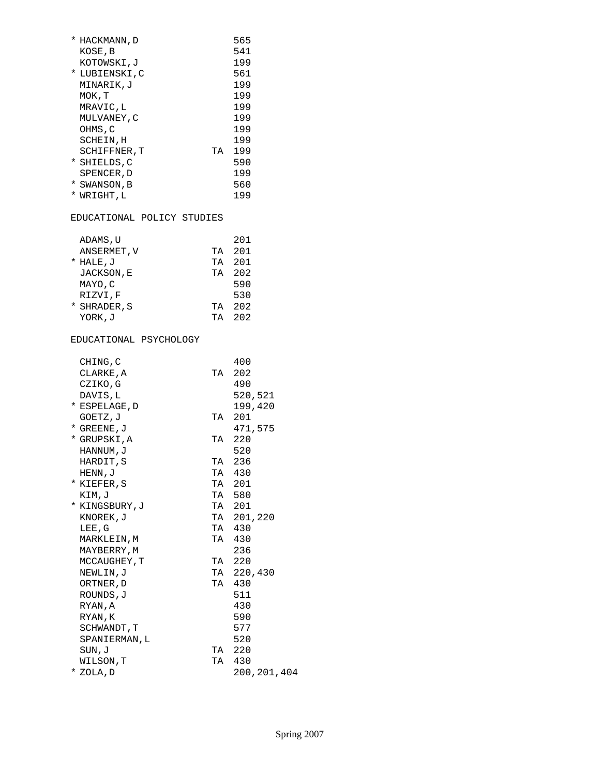| * HACKMANN, D   |    | 565 |
|-----------------|----|-----|
| KOSE, B         |    | 541 |
| KOTOWSKI,J      |    | 199 |
| * LUBIENSKI,C   |    | 561 |
| MINARIK.J       |    | 199 |
| MOK, T          |    | 199 |
| MRAVIC,L        |    | 199 |
| MULVANEY, C     |    | 199 |
| OHMS,C          |    | 199 |
| SCHEIN, H       |    | 199 |
| SCHIFFNER, T    | TА | 199 |
| * SHIELDS, C    |    | 590 |
| SPENCER, D      |    | 199 |
| *<br>SWANSON, B |    | 560 |
| *<br>WRIGHT.L   |    | 199 |

## EDUCATIONAL POLICY STUDIES

| ADAMS, U     |    | 201 |
|--------------|----|-----|
| ANSERMET, V  | TА | 201 |
| * HALE, J    | TА | 201 |
| JACKSON, E   | TА | 202 |
| MAYO, C      |    | 590 |
| RIZVI.F      |    | 530 |
| * SHRADER, S | TА | 202 |
| YORK, J      | ΤA | 202 |

# EDUCATIONAL PSYCHOLOGY

| CHING, C      |    | 400         |
|---------------|----|-------------|
| CLARKE, A     | TA | 202         |
| CZIKO, G      |    | 490         |
| DAVIS, L      |    | 520,521     |
| * ESPELAGE, D |    | 199,420     |
| GOETZ, J      | TA | 201         |
| * GREENE, J   |    | 471,575     |
| * GRUPSKI,A   | TA | 220         |
| HANNUM, J     |    | 520         |
| HARDIT, S     |    | TA 236      |
| HENN, J       |    | TA 430      |
| * KIEFER, S   |    | TA 201      |
| KIM, J        |    | TA 580      |
| * KINGSBURY,J |    | TA 201      |
| KNOREK, J     |    | TA 201,220  |
| LEE, G        |    | TA 430      |
| MARKLEIN, M   |    | TA 430      |
| MAYBERRY, M   |    | 236         |
| MCCAUGHEY, T  |    | TA 220      |
| NEWLIN,J      |    | TA 220,430  |
| ORTNER, D     |    | TA 430      |
| ROUNDS, J     |    | 511         |
| RYAN, A       |    | 430         |
| RYAN, K       |    | 590         |
| SCHWANDT, T   |    | 577         |
| SPANIERMAN, L |    | 520         |
| SUN,J         |    | TA 220      |
| WILSON, T     |    | TA 430      |
| * ZOLA, D     |    | 200,201,404 |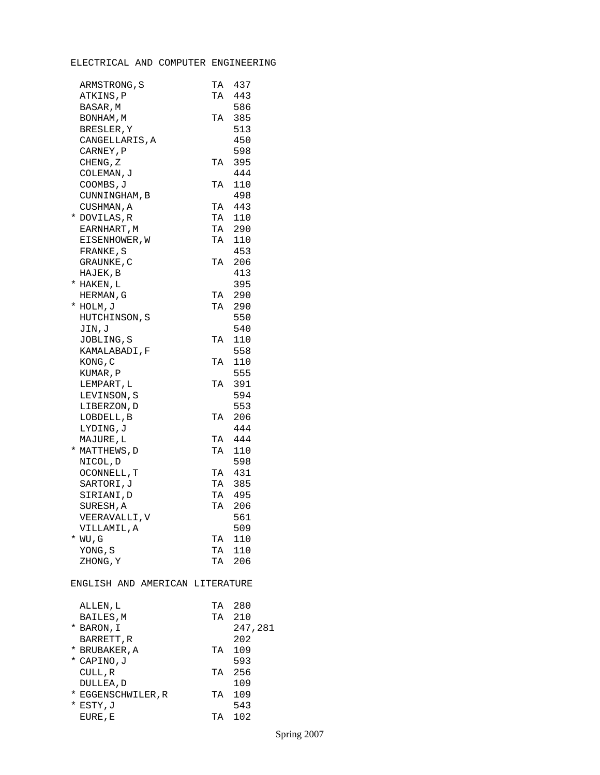# ELECTRICAL AND COMPUTER ENGINEERING

| ARMSTRONG, S                    | TA | 437     |
|---------------------------------|----|---------|
| ATKINS, P                       | TA | 443     |
| BASAR, M                        |    | 586     |
| BONHAM, M                       | TA | 385     |
| BRESLER, Y                      |    | 513     |
| CANGELLARIS, A                  |    | 450     |
| CARNEY, P                       |    | 598     |
| CHENG, Z                        | TA | 395     |
| COLEMAN, J                      |    | 444     |
| COOMBS, J                       | TA | 110     |
| CUNNINGHAM, B                   |    | 498     |
| CUSHMAN, A                      | TA | 443     |
| * DOVILAS,R                     | TA | 110     |
| EARNHART, M                     | TA | 290     |
|                                 | TA | 110     |
| EISENHOWER, W                   |    | 453     |
| FRANKE, S                       |    |         |
| GRAUNKE , C                     | TA | 206     |
| HAJEK, B                        |    | 413     |
| * HAKEN, L                      |    | 395     |
| HERMAN, G                       | TA | 290     |
| * HOLM, J                       | TA | 290     |
| HUTCHINSON, S                   |    | 550     |
| JIN, J                          |    | 540     |
| JOBLING, S                      | TA | 110     |
| KAMALABADI,F                    |    | 558     |
| KONG, C                         | TA | 110     |
| KUMAR, P                        |    | 555     |
| LEMPART, L                      | TA | 391     |
| LEVINSON, S                     |    | 594     |
| LIBERZON, D                     |    | 553     |
| LOBDELL, B                      | TA | 206     |
| LYDING, J                       |    | 444     |
| MAJURE, L                       | TA | 444     |
| * MATTHEWS, D                   | TA | 110     |
| NICOL, D                        |    | 598     |
| OCONNELL, T                     |    | TA 431  |
| SARTORI,J                       | TA | 385     |
| SIRIANI, D                      | TA | 495     |
| SURESH, A                       |    | TA 206  |
| VEERAVALLI, V                   |    | 561     |
| VILLAMIL, A                     |    | 509     |
| * WU,G                          | TA | 110     |
| YONG, S                         | TA | 110     |
| ZHONG, Y                        |    | TA 206  |
| ENGLISH AND AMERICAN LITERATURE |    |         |
| ALLEN, L                        | TA | 280     |
| BAILES, M                       | TA | 210     |
| * BARON, I                      |    | 247,281 |
| BARRETT, R                      |    | 202     |
| * BRUBAKER, A                   | TA | 109     |
| * CAPINO, J                     |    | 593     |
| CULL, R                         | TA | 256     |
| DULLEA, D                       |    | 109     |
| * EGGENSCHWILER, R              | TΑ | 109     |
|                                 |    |         |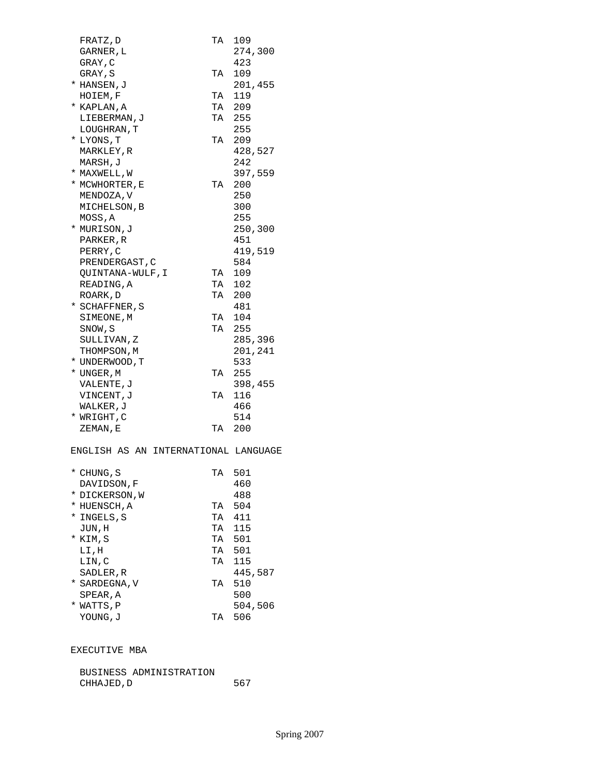| FRATZ, D                             | TA     | 109     |
|--------------------------------------|--------|---------|
| GARNER, L                            |        | 274,300 |
| GRAY, C                              |        | 423     |
| GRAY, S                              | ТA     | 109     |
| * HANSEN, J                          |        | 201,455 |
| HOIEM, F                             | TA     | 119     |
| * KAPLAN, A                          | TA     | 209     |
| LIEBERMAN, J                         | TA     | 255     |
| LOUGHRAN, T                          |        | 255     |
| * LYONS, T                           | TA     | 209     |
| MARKLEY, R                           |        | 428,527 |
| MARSH, J                             |        | 242     |
| * MAXWELL, W                         |        | 397,559 |
| * MCWHORTER, E                       | TA     | 200     |
| MENDOZA, V                           |        | 250     |
| MICHELSON, B                         |        | 300     |
| MOSS, A                              |        | 255     |
| * MURISON,J                          |        | 250,300 |
| PARKER, R                            |        | 451     |
| PERRY, C                             |        | 419,519 |
| PRENDERGAST, C                       |        | 584     |
| QUINTANA-WULF, I                     | TA     | 109     |
| READING, A                           | TA     | 102     |
| ROARK, D                             | TA     | 200     |
| * SCHAFFNER, S                       |        | 481     |
| SIMEONE,M                            | TA     | 104     |
| SNOW,S                               | TA     | 255     |
| SULLIVAN,Z                           |        | 285,396 |
| THOMPSON, M                          |        | 201,241 |
| * UNDERWOOD, T                       |        | 533     |
| * UNGER, M                           | TA     | 255     |
| VALENTE , J                          |        | 398,455 |
| VINCENT, J                           | TA     | 116     |
| WALKER, J                            |        | 466     |
| * WRIGHT, C                          |        | 514     |
| ZEMAN, E                             | TA     | -200    |
| ENGLISH AS AN INTERNATIONAL LANGUAGE |        |         |
|                                      |        |         |
| * CHUNG, S                           | TA 501 |         |
| DAVIDSON, F                          |        | 460     |
| * DICKERSON,W                        |        | 488     |
| * HUENSCH, A                         | TA 504 |         |
| * INGELS, S                          | TA     | 411     |
| TIN H                                | ጥ አ    | 115     |

| c ' cuuant    | $\pm$ A | ᅕᆠᆂᆂ    |
|---------------|---------|---------|
| JUN, H        | TA      | 115     |
| * KIM,S       | TA      | 501     |
| LI,H          | TA      | 501     |
| LIN, C        | TА      | 115     |
| SADLER, R     |         | 445,587 |
| * SARDEGNA, V | TA      | 510     |
| SPEAR, A      |         | 500     |
| * WATTS, P    |         | 504,506 |
| YOUNG.J       | TА      | 506     |
|               |         |         |

# EXECUTIVE MBA

| BUSINESS ADMINISTRATION |     |
|-------------------------|-----|
| CHHAJED, D              | 567 |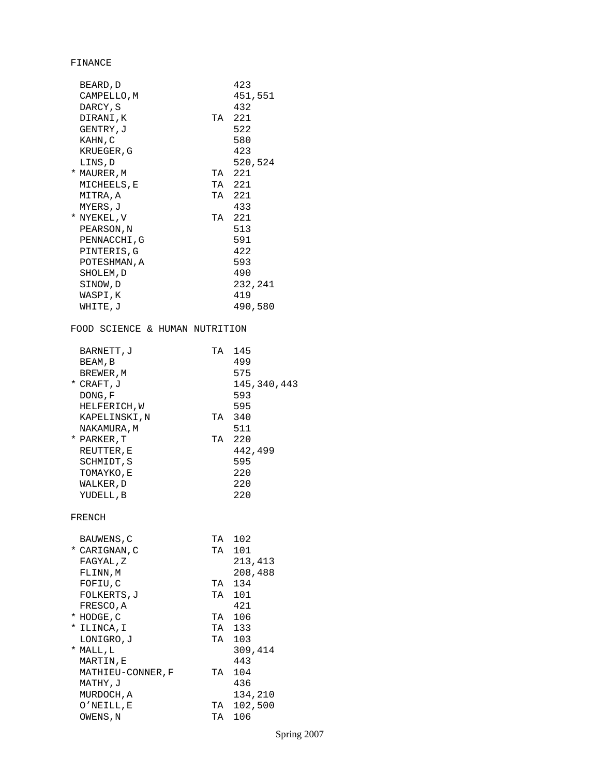FINANCE

| BEARD, D                       |        | 423           |
|--------------------------------|--------|---------------|
| CAMPELLO, M                    |        | 451,551       |
| DARCY, S                       |        | 432           |
| DIRANI, K                      | TA 221 |               |
| GENTRY, J                      |        | 522           |
| KAHN, C                        |        | 580           |
| KRUEGER, G                     |        | 423           |
| LINS, D                        |        | 520,524       |
| * MAURER, M                    | TA     | 221           |
| MICHEELS, E                    | TA     | 221           |
| MITRA, A                       | TA     | 221           |
| MYERS, J                       |        | 433           |
| * NYEKEL, V                    | TA 221 |               |
| PEARSON, N                     |        | 513           |
| PENNACCHI, G                   |        | 591           |
| PINTERIS, G                    |        | 422           |
| POTESHMAN, A                   |        | 593           |
|                                |        | 490           |
| SHOLEM, D                      |        | 232,241       |
| SINOW, D                       |        |               |
| WASPI, K                       |        | 419           |
| WHITE, J                       |        | 490,580       |
| FOOD SCIENCE & HUMAN NUTRITION |        |               |
|                                |        |               |
| BARNETT, J                     | TA 145 |               |
| BEAM, B                        |        | 499           |
| BREWER, M                      |        | 575           |
| * CRAFT, J                     |        | 145, 340, 443 |
| DONG, F                        |        | 593           |
| HELFERICH, W                   |        | 595           |
| KAPELINSKI, N                  | TA 340 |               |
| NAKAMURA , M                   |        | 511           |
| * PARKER, T                    | TA 220 |               |
| REUTTER, E                     |        | 442,499       |
| SCHMIDT, S                     |        | 595           |
| TOMAYKO,E                      |        | 220           |
| WALKER, D                      |        | 220           |
| YUDELL, B                      |        | 220           |
| FRENCH                         |        |               |
|                                |        |               |
| <b>BAUWENS, C</b>              | TA     | 102           |
| * CARIGNAN, C                  | TA     | 101           |
| FAGYAL, Z                      |        | 213,413       |
| FLINN, M                       |        | 208,488       |
| FOFIU, C                       | TA     | 134           |
| FOLKERTS, J                    | TA     | 101           |
| FRESCO, A                      |        | 421           |
| * HODGE, C                     | TA 106 |               |
| * ILINCA, I                    | TA     | 133           |
| LONIGRO, J                     | TA     | 103           |
| * MALL,L                       |        | 309,414       |
| MARTIN,E                       |        | 443           |
| MATHIEU-CONNER, F              | TA     | 104           |
| MATHY,J                        |        | 436           |
| MURDOCH, A                     |        | 134,210       |
| O'NEILL, E                     | TA     | 102,500       |
| OWENS, N                       | TA     | 106           |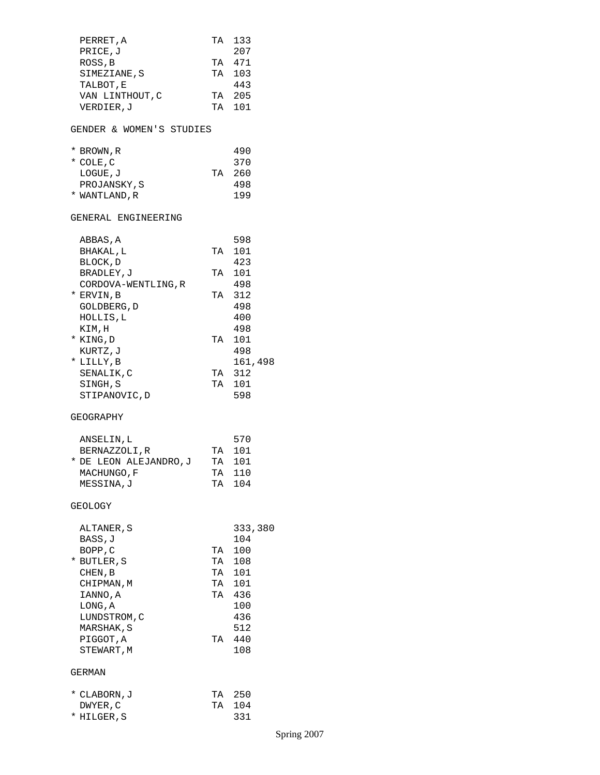| PERRET, A                |    | TA 133           |
|--------------------------|----|------------------|
| PRICE, J                 |    | 207              |
| ROSS, B                  |    | TA 471           |
| SIMEZIANE, S             | TA | 103              |
| TALBOT, E                |    | 443              |
| VAN LINTHOUT, C          |    | TA 205           |
| VERDIER,J                |    | TA 101           |
| GENDER & WOMEN'S STUDIES |    |                  |
| * BROWN, R               |    | 490              |
| * COLE, C                |    | 370              |
| LOGUE, J                 | TA | 260              |
| PROJANSKY, S             |    | 498              |
| * WANTLAND,R             |    | 199              |
| GENERAL ENGINEERING      |    |                  |
| ABBAS, A                 |    | 598              |
| BHAKAL, L                | TA | 101              |
| BLOCK, D                 |    | 423              |
| BRADLEY, J               | TA | 101              |
| CORDOVA-WENTLING, R      |    | 498              |
| * ERVIN, B               | TA | 312              |
| GOLDBERG, D              |    | 498              |
| HOLLIS, L                |    | 400              |
| KIM,H                    |    | 498              |
| * KING, D                | TA | 101              |
| KURTZ, J                 |    | 498              |
| * LILLY, B               |    | 161,498          |
| SENALIK, C               |    | TA 312<br>TA 101 |
| SINGH, S                 |    |                  |
| STIPANOVIC, D            |    | 598              |
| GEOGRAPHY                |    |                  |
| ANSELIN, L               |    | 570              |
| BERNAZZOLI, R            |    | TA 101           |
| * DE LEON ALEJANDRO,J    | TA | 101              |
| MACHUNGO, F              | TA | 110              |
| MESSINA, J               | TA | 104              |
| GEOLOGY                  |    |                  |
| ALTANER, S               |    | 333,380          |
| BASS, J                  |    | 104              |
| BOPP, C                  | TA | 100              |
| * BUTLER, S              | TA | 108              |
| CHEN, B                  | TA | 101              |
| CHIPMAN, M               | TA | 101              |
| IANNO, A                 | TA | 436              |
| LONG, A                  |    | 100              |
| LUNDSTROM, C             |    | 436              |
| MARSHAK, S               |    | 512              |
| PIGGOT, A<br>STEWART, M  | TA | 440<br>108       |
| GERMAN                   |    |                  |
|                          |    |                  |
| * CLABORN, J             |    | TA 250<br>104    |
| DWYER, C<br>* HILGER, S  | TA | 331              |
|                          |    |                  |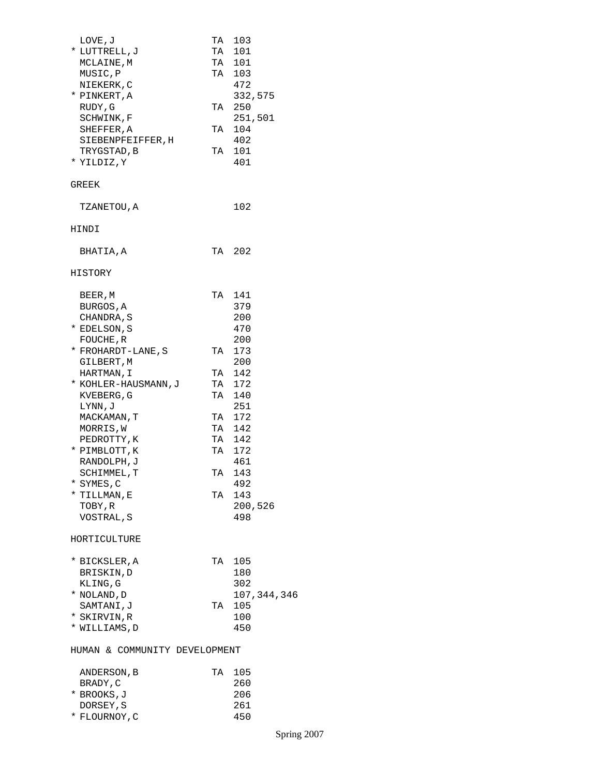| LOVE, J                            |    | TA 103<br>TA 101  |
|------------------------------------|----|-------------------|
| * LUTTRELL, J                      |    | TA 101            |
| MCLAINE, M                         |    |                   |
| MUSIC, P                           |    | TA 103<br>472     |
| NIEKERK, C                         |    |                   |
| * PINKERT,A<br>RUDY, G             |    | 332,575           |
|                                    |    | TA 250<br>251,501 |
| SCHWINK, F                         | TA | 104               |
| SHEFFER, A                         |    |                   |
| SIEBENPFEIFFER, H                  |    | 402               |
| TRYGSTAD, B                        | TA | 101               |
| * YILDIZ, Y                        |    | 401               |
| GREEK                              |    |                   |
| TZANETOU, A                        |    | 102               |
| HINDI                              |    |                   |
| BHATIA,A                           |    | TA 202            |
| HISTORY                            |    |                   |
|                                    |    | TA 141            |
| BEER, M<br>BURGOS, A               |    | 379               |
| CHANDRA, S                         |    | 200               |
| * EDELSON, S                       |    | 470               |
| FOUCHE, R                          |    | 200               |
| * FROHARDT-LANE, S                 |    | TA 173            |
|                                    |    | 200               |
| GILBERT,M                          |    | TA 142            |
| HARTMAN, I<br>* KOHLER-HAUSMANN, J |    | TA 172            |
|                                    |    |                   |
| KVEBERG, G                         |    | TA 140<br>251     |
| LYNN, J<br>MACKAMAN, T             |    | TA 172            |
| MORRIS, W                          | TA | 142               |
| PEDROTTY, K                        |    | TA 142            |
| * PIMBLOTT, K                      |    | TA 172            |
| RANDOLPH, J                        |    | 461               |
| SCHIMMEL, T                        |    | TA 143            |
| * SYMES,C                          |    | 492               |
| * TILLMAN, E                       | TA | 143               |
| TOBY, R                            |    | 200,526           |
| VOSTRAL, S                         |    | 498               |
| HORTICULTURE                       |    |                   |
|                                    |    |                   |
| * BICKSLER, A                      |    | TA 105            |
| BRISKIN, D                         |    | 180               |
| KLING, G                           |    | 302               |
| * NOLAND, D                        |    | 107,344,346       |
| SAMTANI, J                         | TA | 105               |
| * SKIRVIN,R                        |    | 100               |
| * WILLIAMS,D                       |    | 450               |
| HUMAN & COMMUNITY DEVELOPMENT      |    |                   |
| ANDERSON, B                        | TA | 105               |
| BRADY, C                           |    | 260               |
| * BROOKS,J                         |    | 206               |
| DORSEY, S                          |    | 261               |
| * FLOURNOY, C                      |    | 450               |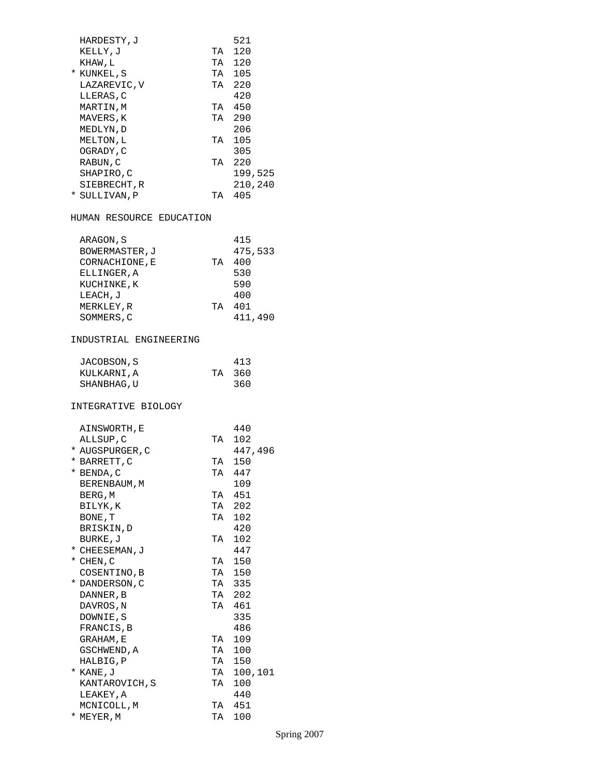| HARDESTY, J<br>KELLY, J<br>KHAW,L<br>* KUNKEL, S<br>LAZAREVIC, V<br>LLERAS, C<br>MARTIN, M<br>MAVERS, K<br>MEDLYN, D<br>MELTON, L<br>OGRADY, C<br>RABUN, C |                      | 521<br>TA 120<br>TA 120<br>TA 105<br>TA 220<br>420<br>TA 450<br>TA 290<br>206<br>TA 105<br>305<br>TA 220 |
|------------------------------------------------------------------------------------------------------------------------------------------------------------|----------------------|----------------------------------------------------------------------------------------------------------|
| SHAPIRO, C<br>SIEBRECHT, R<br>* SULLIVAN, P                                                                                                                |                      | 199,525<br>210,240<br>TA 405                                                                             |
| HUMAN RESOURCE EDUCATION                                                                                                                                   |                      |                                                                                                          |
| ARAGON, S<br>BOWERMASTER, J<br>CORNACHIONE, E<br>ELLINGER, A<br>KUCHINKE, K<br>LEACH, J<br>MERKLEY, R<br>SOMMERS, C                                        |                      | 415<br>475,533<br>TA 400<br>530<br>590<br>400<br>TA 401<br>411,490                                       |
| INDUSTRIAL ENGINEERING                                                                                                                                     |                      |                                                                                                          |
| JACOBSON, S<br>KULKARNI, A<br>SHANBHAG, U                                                                                                                  | TA                   | 413<br>360<br>360                                                                                        |
| INTEGRATIVE BIOLOGY                                                                                                                                        |                      |                                                                                                          |
| AINSWORTH, E<br>ALLSUP, C<br>* AUGSPURGER, C<br>* BARRETT, C<br>BENDA, C<br>*<br>BERENBAUM, M                                                              | TA<br>TA<br>TA       | 440<br>102<br>447,496<br>150<br>447<br>109                                                               |
| BERG, M<br>BILYK,K<br>BONE, T<br>BRISKIN, D                                                                                                                | TA<br>TA<br>TA       | 451<br>202<br>102<br>420                                                                                 |
| BURKE, J<br>* CHEESEMAN, J<br>* CHEN, C<br>COSENTINO, B                                                                                                    | TA<br>TA<br>TA<br>TA | 102<br>447<br>150<br>150<br>335                                                                          |
| * DANDERSON, C<br>DANNER, B<br>DAVROS, N<br>DOWNIE, S<br>FRANCIS, B<br>GRAHAM, E                                                                           | TA<br>TA<br>TA       | 202<br>461<br>335<br>486<br>109                                                                          |
| GSCHWEND, A<br>HALBIG, P<br>* KANE,J<br>KANTAROVICH, S<br>LEAKEY, A                                                                                        | TA<br>TA<br>TA<br>TA | 100<br>150<br>100,101<br>100<br>440                                                                      |
| MCNICOLL, M<br>* MEYER, M                                                                                                                                  | TA<br>TA             | 451<br>100                                                                                               |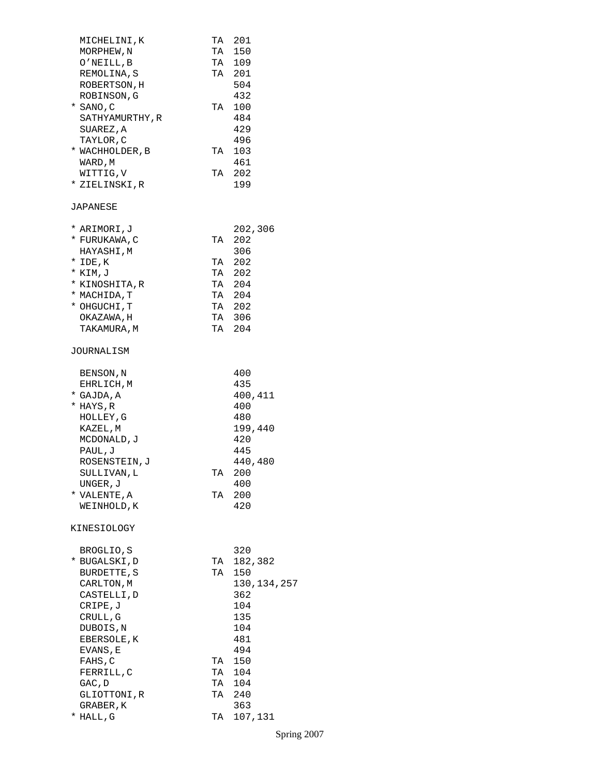| MICHELINI,K     |    | TA 201        |
|-----------------|----|---------------|
| MORPHEW, N      |    | TA 150        |
| O'NEILL,B       |    | TA 109        |
| REMOLINA, S     |    | TA 201        |
| ROBERTSON, H    |    | 504           |
| ROBINSON, G     |    | 432           |
| * SANO,C        |    | TA 100        |
| SATHYAMURTHY, R |    | 484           |
| SUAREZ, A       |    | 429           |
| TAYLOR, C       |    | 496           |
| * WACHHOLDER, B | TA | 103           |
| WARD, M         |    | 461           |
| WITTIG, V       |    | TA 202        |
|                 |    | 199           |
| * ZIELINSKI,R   |    |               |
| JAPANESE        |    |               |
| * ARIMORI,J     |    | 202,306       |
| * FURUKAWA, C   | TA | 202           |
| HAYASHI, M      |    | 306           |
| * IDE, K        | TA | -202          |
| * KIM, J        |    | TA 202        |
| * KINOSHITA,R   |    | TA 204        |
| * MACHIDA, T    |    | TA 204        |
| * OHGUCHI,T     |    | TA 202        |
| OKAZAWA, H      |    | TA 306        |
| TAKAMURA, M     |    | TA 204        |
| JOURNALISM      |    |               |
|                 |    |               |
| BENSON, N       |    | 400           |
| EHRLICH, M      |    | 435           |
| * GAJDA, A      |    | 400,411       |
| * HAYS,R        |    | 400           |
| HOLLEY, G       |    | 480           |
| KAZEL,M         |    | 199,440       |
| MCDONALD, J     |    | 420           |
| PAUL, J         |    | 445           |
| ROSENSTEIN, J   |    | 440,480       |
| SULLIVAN, L     | TA | 200           |
| UNGER, J        |    | 400           |
| * VALENTE, A    | TA | 200           |
| WEINHOLD, K     |    | 420           |
| KINESIOLOGY     |    |               |
|                 |    |               |
| BROGLIO, S      |    | 320           |
| * BUGALSKI,D    | TA | 182,382       |
| BURDETTE, S     | TA | 150           |
| CARLTON, M      |    | 130, 134, 257 |
| CASTELLI, D     |    | 362           |
| CRIPE,J         |    | 104           |
| CRULL, G        |    | 135           |
| DUBOIS, N       |    | 104           |
| EBERSOLE, K     |    | 481           |
| EVANS, E        |    | 494           |
| FAHS, C         | TA | 150           |
| FERRILL, C      | TA | 104           |
| GAC, D          |    | TA 104        |
| GLIOTTONI,R     |    | TA 240        |
| GRABER , K      |    | 363           |
| * HALL, G       | TA | 107,131       |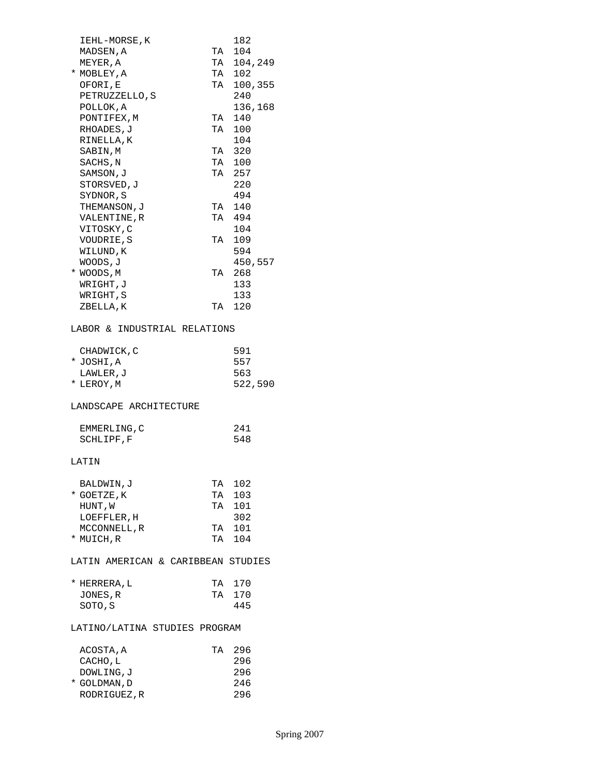|                               | 182                                                                                                                                                                   |
|-------------------------------|-----------------------------------------------------------------------------------------------------------------------------------------------------------------------|
|                               |                                                                                                                                                                       |
|                               | TA 104,249                                                                                                                                                            |
|                               |                                                                                                                                                                       |
|                               |                                                                                                                                                                       |
|                               |                                                                                                                                                                       |
|                               | 136,168                                                                                                                                                               |
|                               |                                                                                                                                                                       |
|                               |                                                                                                                                                                       |
|                               | 104                                                                                                                                                                   |
|                               |                                                                                                                                                                       |
|                               |                                                                                                                                                                       |
|                               |                                                                                                                                                                       |
|                               |                                                                                                                                                                       |
|                               | 220<br>494                                                                                                                                                            |
|                               |                                                                                                                                                                       |
|                               |                                                                                                                                                                       |
|                               |                                                                                                                                                                       |
|                               | 104                                                                                                                                                                   |
|                               |                                                                                                                                                                       |
|                               | 594                                                                                                                                                                   |
|                               | 450,557                                                                                                                                                               |
|                               | 268                                                                                                                                                                   |
|                               | 133                                                                                                                                                                   |
|                               | 133                                                                                                                                                                   |
|                               |                                                                                                                                                                       |
|                               |                                                                                                                                                                       |
|                               | 591                                                                                                                                                                   |
|                               | 557                                                                                                                                                                   |
|                               | 563                                                                                                                                                                   |
|                               | 522,590                                                                                                                                                               |
|                               |                                                                                                                                                                       |
|                               | 241                                                                                                                                                                   |
|                               | 548                                                                                                                                                                   |
|                               |                                                                                                                                                                       |
|                               |                                                                                                                                                                       |
|                               |                                                                                                                                                                       |
| TA                            | 102                                                                                                                                                                   |
|                               | 103                                                                                                                                                                   |
| TA                            | TA 101                                                                                                                                                                |
|                               | 302                                                                                                                                                                   |
|                               | TA 101                                                                                                                                                                |
|                               |                                                                                                                                                                       |
|                               | TA 104<br>LATIN AMERICAN & CARIBBEAN STUDIES                                                                                                                          |
|                               |                                                                                                                                                                       |
| TA                            | 170                                                                                                                                                                   |
|                               | TA 170                                                                                                                                                                |
|                               | 445                                                                                                                                                                   |
| LATINO/LATINA STUDIES PROGRAM |                                                                                                                                                                       |
|                               |                                                                                                                                                                       |
| TA                            | 296                                                                                                                                                                   |
|                               | 296                                                                                                                                                                   |
|                               | 296<br>246                                                                                                                                                            |
|                               | TA 104<br>TA 102<br>TA 100,355<br>240<br>TA 140<br>TA 100<br>TA 320<br>TA 100<br>TA 257<br>TA 140<br>TA 494<br>TA 109<br>TA<br>TA 120<br>LABOR & INDUSTRIAL RELATIONS |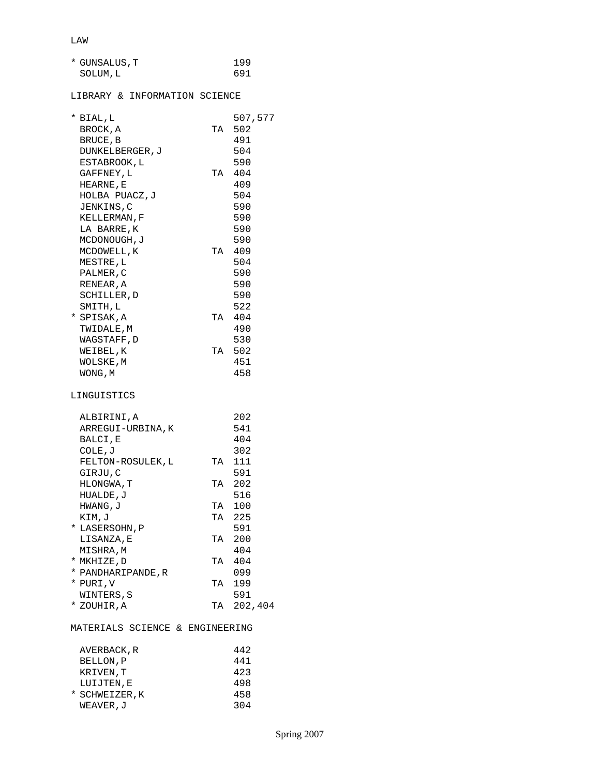| * GUNSALUS, T | 199 |
|---------------|-----|
| SOLUM, L      | 691 |

## LIBRARY & INFORMATION SCIENCE

| * BIAL, L          |    | 507,577    |
|--------------------|----|------------|
| BROCK, A           | TA | 502        |
| BRUCE, B           |    | 491        |
| DUNKELBERGER, J    |    | 504        |
| ESTABROOK, L       |    | 590        |
| GAFFNEY, L         | TA | 404        |
| HEARNE, E          |    | 409        |
| HOLBA PUACZ, J     |    | 504        |
| JENKINS, C         |    | 590        |
| KELLERMAN, F       |    | 590        |
| LA BARRE,K         |    | 590        |
| MCDONOUGH, J       |    | 590        |
| MCDOWELL, K        | TA | 409        |
| MESTRE, L          |    | 504        |
| PALMER, C          |    | 590        |
| RENEAR , A         |    | 590        |
| SCHILLER, D        |    | 590        |
| SMITH, L           |    | 522        |
| * SPISAK, A        |    | TA 404     |
| TWIDALE, M         |    | 490        |
| WAGSTAFF, D        |    | 530        |
| WEIBEL, K          | TA | 502        |
| WOLSKE, M          |    | 451        |
| WONG, M            |    | 458        |
|                    |    |            |
| LINGUISTICS        |    |            |
| ALBIRINI,A         |    | 202        |
| ARREGUI-URBINA, K  |    | 541        |
| BALCI, E           |    | 404        |
| COLE, J            |    | 302        |
| FELTON-ROSULEK, L  | TA | 111        |
| GIRJU,C            |    | 591        |
| HLONGWA, T         | TA | 202        |
| HUALDE, J          |    | 516        |
| HWANG, J           | TA | 100        |
| KIM,J              | TA | 225        |
| * LASERSOHN, P     |    | 591        |
| LISANZA, E         | TA | 200        |
| MISHRA,M           |    | 404        |
| * MKHIZE,D         | TA | 404        |
| * PANDHARIPANDE, R |    | 099        |
| * PURI,V           | TA | 199        |
| WINTERS, S         |    | 591        |
| * ZOUHIR, A        |    | TA 202,404 |
|                    |    |            |

## MATERIALS SCIENCE & ENGINEERING

| AVERBACK, R   | 442 |
|---------------|-----|
| BELLON, P     | 441 |
| KRIVEN, T     | 423 |
| LUIJTEN, E    | 498 |
| * SCHWEIZER.K | 458 |
| WEAVER,J      | 304 |
|               |     |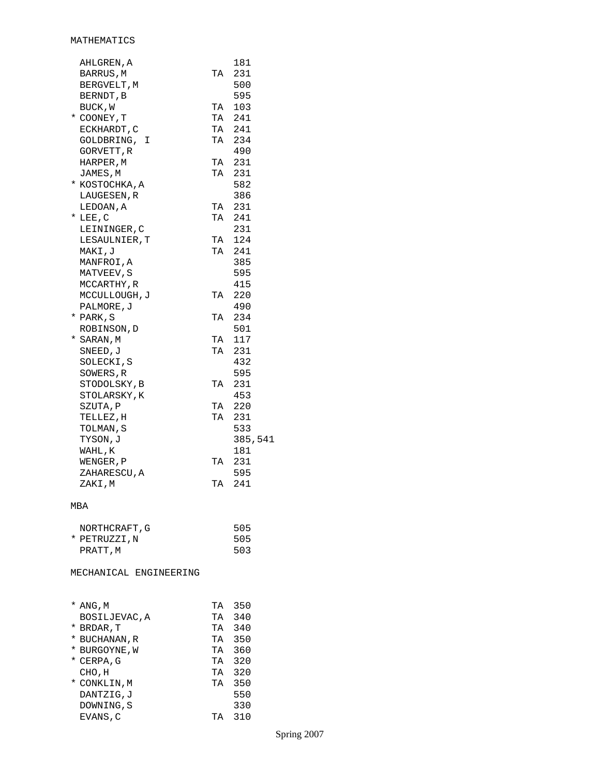| 500<br>BERGVELT, M<br>595<br>BERNDT, B<br>TA 103<br>BUCK, W<br>TA 241<br>* COONEY, T<br>TA 241<br>ECKHARDT, C<br>TA 234<br>GOLDBRING, I<br>490<br>GORVETT, R<br>TA 231<br>HARPER, M<br>TA 231<br>JAMES, M<br>582<br>* KOSTOCHKA,A<br>386<br>LAUGESEN, R<br>TA<br>231<br>LEDOAN, A<br>TA 241<br>$*$ LEE, C<br>231<br>LEININGER, C<br>TA 124<br>LESAULNIER, T<br>MAKI, J<br>TA 241<br>385<br>MANFROI, A<br>595<br>MATVEEV, S<br>415<br>MCCARTHY, R<br>220<br>MCCULLOUGH, J<br>TA |  |
|--------------------------------------------------------------------------------------------------------------------------------------------------------------------------------------------------------------------------------------------------------------------------------------------------------------------------------------------------------------------------------------------------------------------------------------------------------------------------------|--|
|                                                                                                                                                                                                                                                                                                                                                                                                                                                                                |  |
|                                                                                                                                                                                                                                                                                                                                                                                                                                                                                |  |
|                                                                                                                                                                                                                                                                                                                                                                                                                                                                                |  |
|                                                                                                                                                                                                                                                                                                                                                                                                                                                                                |  |
|                                                                                                                                                                                                                                                                                                                                                                                                                                                                                |  |
|                                                                                                                                                                                                                                                                                                                                                                                                                                                                                |  |
|                                                                                                                                                                                                                                                                                                                                                                                                                                                                                |  |
|                                                                                                                                                                                                                                                                                                                                                                                                                                                                                |  |
|                                                                                                                                                                                                                                                                                                                                                                                                                                                                                |  |
|                                                                                                                                                                                                                                                                                                                                                                                                                                                                                |  |
|                                                                                                                                                                                                                                                                                                                                                                                                                                                                                |  |
|                                                                                                                                                                                                                                                                                                                                                                                                                                                                                |  |
|                                                                                                                                                                                                                                                                                                                                                                                                                                                                                |  |
|                                                                                                                                                                                                                                                                                                                                                                                                                                                                                |  |
|                                                                                                                                                                                                                                                                                                                                                                                                                                                                                |  |
|                                                                                                                                                                                                                                                                                                                                                                                                                                                                                |  |
|                                                                                                                                                                                                                                                                                                                                                                                                                                                                                |  |
|                                                                                                                                                                                                                                                                                                                                                                                                                                                                                |  |
|                                                                                                                                                                                                                                                                                                                                                                                                                                                                                |  |
| PALMORE, J<br>490<br>TA 234                                                                                                                                                                                                                                                                                                                                                                                                                                                    |  |
| * PARK, S<br>501<br>ROBINSON, D                                                                                                                                                                                                                                                                                                                                                                                                                                                |  |
| TA 117<br>* SARAN, M                                                                                                                                                                                                                                                                                                                                                                                                                                                           |  |
| SNEED, J<br>TA 231                                                                                                                                                                                                                                                                                                                                                                                                                                                             |  |
| 432<br>SOLECKI, S                                                                                                                                                                                                                                                                                                                                                                                                                                                              |  |
| 595<br>SOWERS, R                                                                                                                                                                                                                                                                                                                                                                                                                                                               |  |
| 231<br>STODOLSKY, B<br>TA                                                                                                                                                                                                                                                                                                                                                                                                                                                      |  |
| 453<br>STOLARSKY, K                                                                                                                                                                                                                                                                                                                                                                                                                                                            |  |
| TA 220<br>SZUTA, P                                                                                                                                                                                                                                                                                                                                                                                                                                                             |  |
| TA<br>TELLEZ, H<br>231                                                                                                                                                                                                                                                                                                                                                                                                                                                         |  |
| 533<br>TOLMAN, S                                                                                                                                                                                                                                                                                                                                                                                                                                                               |  |
| 385,541<br>TYSON,J                                                                                                                                                                                                                                                                                                                                                                                                                                                             |  |
|                                                                                                                                                                                                                                                                                                                                                                                                                                                                                |  |
| 181<br>WAHL,K                                                                                                                                                                                                                                                                                                                                                                                                                                                                  |  |
| TA<br>231<br>WENGER, P                                                                                                                                                                                                                                                                                                                                                                                                                                                         |  |
| 595<br>ZAHARESCU, A                                                                                                                                                                                                                                                                                                                                                                                                                                                            |  |
| TA 241<br>ZAKI,M                                                                                                                                                                                                                                                                                                                                                                                                                                                               |  |
| MBA                                                                                                                                                                                                                                                                                                                                                                                                                                                                            |  |
| 505                                                                                                                                                                                                                                                                                                                                                                                                                                                                            |  |
| NORTHCRAFT, G<br>505                                                                                                                                                                                                                                                                                                                                                                                                                                                           |  |
| * PETRUZZI, N<br>503<br>PRATT, M                                                                                                                                                                                                                                                                                                                                                                                                                                               |  |
|                                                                                                                                                                                                                                                                                                                                                                                                                                                                                |  |
| MECHANICAL ENGINEERING                                                                                                                                                                                                                                                                                                                                                                                                                                                         |  |
| TA 350<br>* ANG, M                                                                                                                                                                                                                                                                                                                                                                                                                                                             |  |
| TA 340<br>BOSILJEVAC, A                                                                                                                                                                                                                                                                                                                                                                                                                                                        |  |
| TA 340<br>* BRDAR,T                                                                                                                                                                                                                                                                                                                                                                                                                                                            |  |
| TA 350<br>* BUCHANAN, R                                                                                                                                                                                                                                                                                                                                                                                                                                                        |  |
| TA 360<br>* BURGOYNE,W                                                                                                                                                                                                                                                                                                                                                                                                                                                         |  |
| * CERPA, G<br>TA 320                                                                                                                                                                                                                                                                                                                                                                                                                                                           |  |
| TA 320<br>CHO, H                                                                                                                                                                                                                                                                                                                                                                                                                                                               |  |
| 350<br>* CONKLIN,M<br>TA<br>550<br>DANTZIG, J                                                                                                                                                                                                                                                                                                                                                                                                                                  |  |

DOWNING,S<br>EVANS,C

TA 310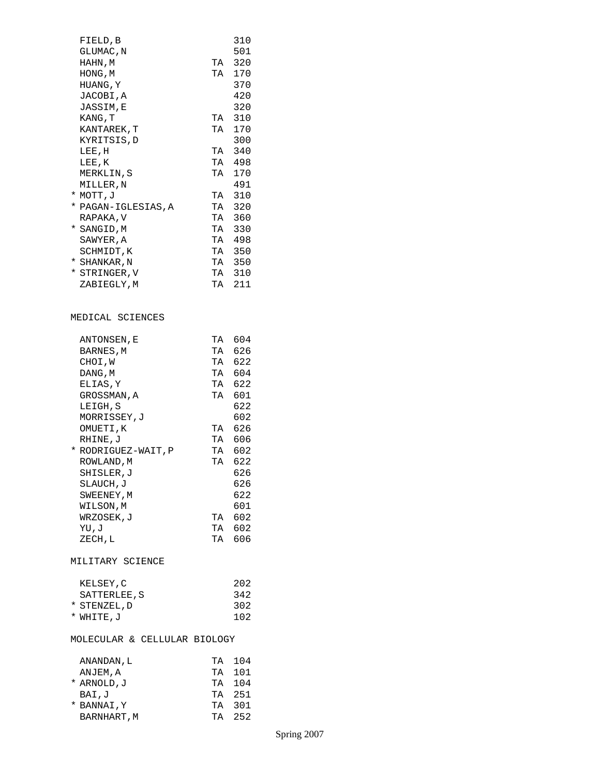| FIELD, B<br>GLUMAC, N<br>HAHN, M<br>HONG, M<br>HUANG, Y<br>JACOBI,A<br>JASSIM,E<br>KANG, T<br>KANTAREK, T<br>KYRITSIS, D<br>LEE, H<br>LEE, K<br>MERKLIN,S<br>MILLER,N<br>* MOTT, J<br>* PAGAN-IGLESIAS, A<br>RAPAKA, V<br>* SANGID, M<br>SAWYER, A<br>SCHMIDT, K<br>* SHANKAR, N<br>* STRINGER, V<br>ZABIEGLY, M | TA<br>TA<br>TA<br>TA<br>TA<br>TA<br>$_{\rm TA}$<br>TA<br>TA<br>TA | 310<br>501<br>320<br>170<br>370<br>420<br>320<br>310<br>170<br>300<br>340<br>TA 498<br>170<br>491<br>310<br>320<br>360<br>330<br>TA 498<br>TA 350<br>TA 350<br>TA 310<br>TA 211 |
|------------------------------------------------------------------------------------------------------------------------------------------------------------------------------------------------------------------------------------------------------------------------------------------------------------------|-------------------------------------------------------------------|---------------------------------------------------------------------------------------------------------------------------------------------------------------------------------|
| MEDICAL SCIENCES                                                                                                                                                                                                                                                                                                 |                                                                   |                                                                                                                                                                                 |
| ANTONSEN, E<br>BARNES, M<br>CHOI,W<br>DANG, M<br>ELIAS, Y<br>GROSSMAN, A<br>LEIGH, S<br>MORRISSEY, J<br>OMUETI, K<br>RHINE, J<br>* RODRIGUEZ-WAIT, P<br>ROWLAND, M<br>SHISLER,J<br>SLAUCH, J<br>SWEENEY, M<br>WILSON,M<br>WRZOSEK, J<br>UV, UY<br>ZECH, L                                                        | TA<br>TA<br>TA                                                    | TA 604<br>626<br>TA 622<br>TA 604<br>TA 622<br>601<br>622<br>602<br>TA 626<br>TA 606<br>TA 602<br>TA 622<br>626<br>626<br>622<br>601<br>602<br>TA 602<br>TA 606                 |
| MILITARY SCIENCE                                                                                                                                                                                                                                                                                                 |                                                                   |                                                                                                                                                                                 |
| KELSEY,C<br>SATTERLEE, S<br>* STENZEL, D<br>* WHITE, J                                                                                                                                                                                                                                                           |                                                                   | 202<br>342<br>302<br>102                                                                                                                                                        |
| MOLECULAR & CELLULAR BIOLOGY                                                                                                                                                                                                                                                                                     |                                                                   |                                                                                                                                                                                 |
| ANANDAN , L<br>ANJEM, A<br>* ARNOLD, J<br>BAI, J<br>* BANNAI, Y<br>BARNHART, M                                                                                                                                                                                                                                   | TA<br>TA<br>TA<br>TA<br>TA<br>TA                                  | 104<br>101<br>104<br>251<br>301<br>252                                                                                                                                          |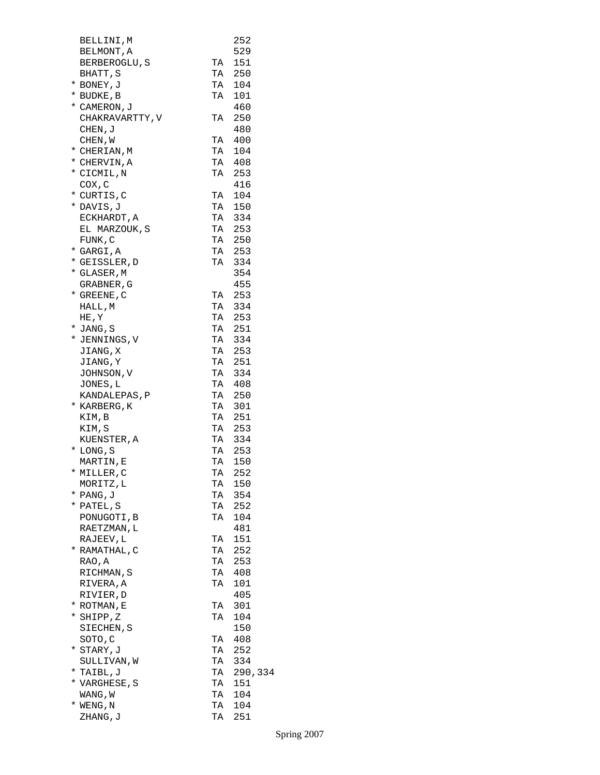| BELLINI,M       |    | 252     |
|-----------------|----|---------|
| BELMONT, A      |    | 529     |
|                 | TA | 151     |
| BERBEROGLU, S   |    |         |
| BHATT, S        | TA | 250     |
| * BONEY, J      | TA | 104     |
| * BUDKE, B      | TA | 101     |
| * CAMERON, J    |    | 460     |
| CHAKRAVARTTY, V | TA | 250     |
| CHEN, J         |    | 480     |
| CHEN, W         |    | TA 400  |
| * CHERIAN, M    | TA | 104     |
| * CHERVIN, A    |    | TA 408  |
| * CICMIL, N     | TA | 253     |
| COX, C          |    | 416     |
| * CURTIS,C      | TA | 104     |
| * DAVIS, J      |    | TA 150  |
| ECKHARDT, A     |    | TA 334  |
| EL MARZOUK, S   |    | TA 253  |
| FUNK, C         |    | TA 250  |
| * GARGI, A      |    | TA 253  |
| * GEISSLER, D   |    | TA 334  |
| * GLASER, M     |    | 354     |
|                 |    | 455     |
| GRABNER , G     |    |         |
| * GREENE, C     |    | TA 253  |
| HALL, M         |    | TA 334  |
| HE, Y           |    | TA 253  |
| * JANG, S       |    | TA 251  |
| * JENNINGS, V   |    | TA 334  |
| JIANG, X        |    | TA 253  |
| JIANG, Y        |    | TA 251  |
| JOHNSON, V      |    | TA 334  |
| JONES, L        | TA | 408     |
| KANDALEPAS, P   | TA | 250     |
| * KARBERG, K    | TA | 301     |
| KIM, B          |    | TA 251  |
| KIM, S          |    | TA 253  |
| KUENSTER, A     |    | TA 334  |
| * LONG, S       |    | TA 253  |
| MARTIN, E       | TA | 150     |
|                 | TA | 252     |
| * MILLER, C     |    |         |
| MORITZ, L       | TA | 150     |
| * PANG, J       | TA | 354     |
| * PATEL, S      | TA | 252     |
| PONUGOTI, B     | TA | 104     |
| RAETZMAN, L     |    | 481     |
| RAJEEV, L       | ТA | 151     |
| * RAMATHAL,C    | TA | 252     |
| RAO, A          | TA | 253     |
| RICHMAN, S      | TA | 408     |
| RIVERA, A       | TΑ | 101     |
| RIVIER, D       |    | 405     |
| * ROTMAN, E     | TA | 301     |
| * SHIPP, Z      | TA | 104     |
| SIECHEN, S      |    | 150     |
| SOTO, C         | TA | 408     |
| * STARY,J       | TA | 252     |
| SULLIVAN,W      | TA | 334     |
| * TAIBL, J      | TA | 290,334 |
| * VARGHESE, S   | TA | 151     |
| WANG, W         | TA | 104     |
| $*$ WENG, N     | TA | 104     |
|                 |    |         |
| ZHANG, J        | TA | 251     |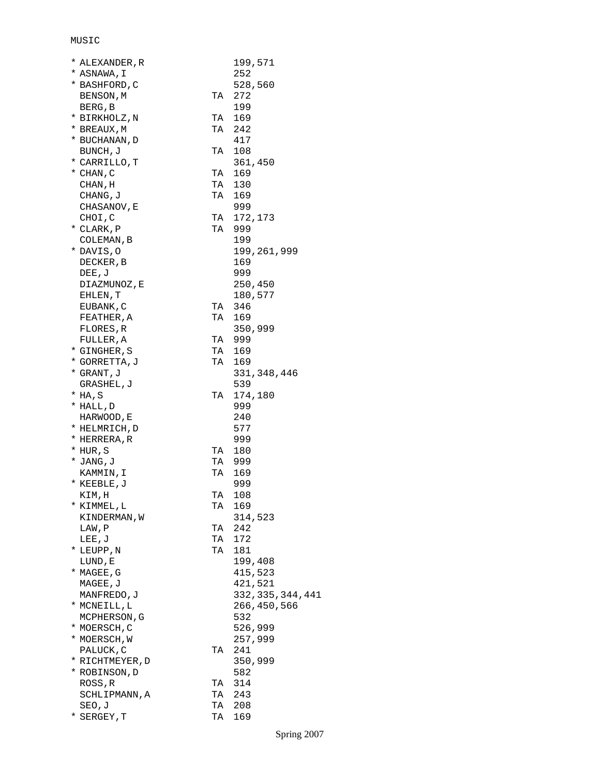## MUSIC

| * ALEXANDER,R   |    | 199,571            |
|-----------------|----|--------------------|
| * ASNAWA, I     |    | 252                |
| * BASHFORD, C   |    | 528,560            |
| BENSON, M       | TA | 272                |
| BERG, B         |    | 199                |
| * BIRKHOLZ, N   | TA | 169                |
| * BREAUX,M      | TA | 242                |
| * BUCHANAN, D   |    | 417                |
| BUNCH, J        | TA | 108                |
| * CARRILLO, T   |    | 361,450            |
| $*$ CHAN, C     | TA | 169                |
| CHAN, H         | TA | 130                |
|                 | TA | 169                |
| CHANG, J        |    |                    |
| CHASANOV, E     |    | 999                |
| CHOI, C         | TA | 172,173            |
| * CLARK, P      | TA | 999                |
| COLEMAN, B      |    | 199                |
| * DAVIS, O      |    | 199,261,999        |
| DECKER, B       |    | 169                |
| DEE, J          |    | 999                |
| DIAZMUNOZ, E    |    | 250,450            |
| EHLEN, T        |    | 180,577            |
| EUBANK, C       | TA | 346                |
| FEATHER , A     | TA | 169                |
| FLORES, R       |    | 350,999            |
| FULLER, A       |    | TA 999             |
| * GINGHER, S    | TA | 169                |
| * GORRETTA, J   | TA | 169                |
| * GRANT, J      |    | 331,348,446        |
| GRASHEL, J      |    | 539                |
| * HA,S          | TA | 174,180            |
| * HALL, D       |    | 999                |
| HARWOOD, E      |    | 240                |
| * HELMRICH, D   |    | 577                |
| * HERRERA, R    |    | 999                |
|                 |    |                    |
| * HUR,S         | TA | 180                |
| * JANG, J       | TA | 999                |
| KAMMIN, I       | TA | 169                |
| * KEEBLE, J     |    | 999                |
| KIM,H           | TA | 108                |
| * KIMMEL,L      | TА | 169                |
| KINDERMAN, W    |    | 314,523            |
| LAW, P          | TA | 242                |
| LEE, J          | TA | 172                |
| * LEUPP, N      | TA | 181                |
| LUND, E         |    | 199,408            |
| * MAGEE, G      |    | 415,523            |
| MAGEE, J        |    | 421,521            |
| MANFREDO, J     |    | 332, 335, 344, 441 |
| * MCNEILL, L    |    | 266,450,566        |
| MCPHERSON, G    |    | 532                |
| * MOERSCH, C    |    | 526,999            |
| * MOERSCH, W    |    | 257,999            |
| PALUCK, C       | TA | 241                |
| * RICHTMEYER, D |    | 350,999            |
| * ROBINSON, D   |    | 582                |
|                 |    | 314                |
| ROSS, R         | TА |                    |
| SCHLIPMANN, A   | TA | 243                |
| SEO,J           | TA | 208                |
| * SERGEY, T     | TA | 169                |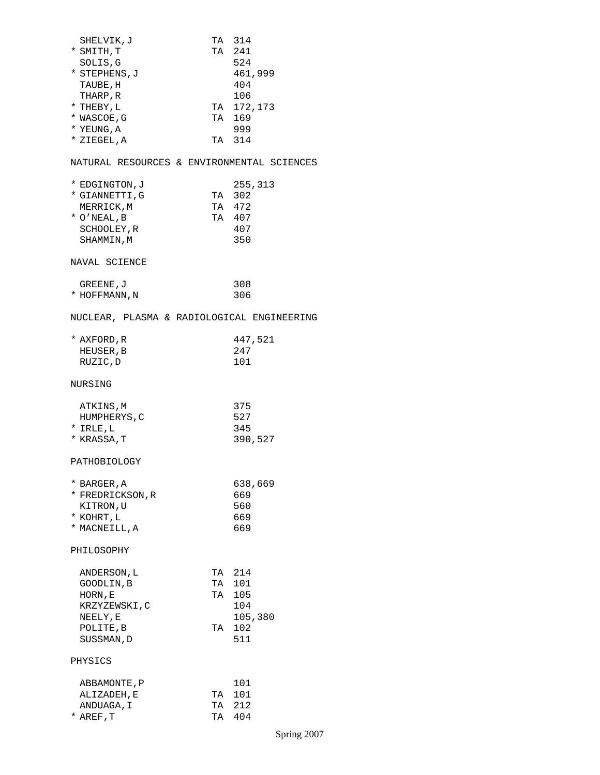| SHELVIK, J<br>* SMITH, T<br>SOLIS, G<br>* STEPHENS, J<br>TAUBE, H<br>THARP, R<br>* THEBY, L<br>* WASCOE, G<br>* YEUNG, A<br>* ZIEGEL,A | TA 314<br>TA 241<br>524<br>461,999<br>404<br>106<br>TA 172,173<br>TA 169<br>999<br>TA 314 |
|----------------------------------------------------------------------------------------------------------------------------------------|-------------------------------------------------------------------------------------------|
|                                                                                                                                        | NATURAL RESOURCES & ENVIRONMENTAL SCIENCES                                                |
| * EDGINGTON, J<br>* GIANNETTI,G<br>MERRICK, M<br>$*$ O'NEAL, B<br>SCHOOLEY, R<br>SHAMMIN, M                                            | 255,313<br>TA 302<br>TA 472<br>TA 407<br>407<br>350                                       |
| NAVAL SCIENCE                                                                                                                          |                                                                                           |
| GREENE, J<br>* HOFFMANN, N                                                                                                             | 308<br>306                                                                                |
|                                                                                                                                        | NUCLEAR, PLASMA & RADIOLOGICAL ENGINEERING                                                |
| * AXFORD,R<br>HEUSER, B<br>RUZIC, D                                                                                                    | 447,521<br>247<br>101                                                                     |
| NURSING                                                                                                                                |                                                                                           |
| ATKINS, M<br>HUMPHERYS, C<br>* IRLE, L<br>* KRASSA, T                                                                                  | 375<br>527<br>345<br>390,527                                                              |
| PATHOBIOLOGY                                                                                                                           |                                                                                           |
| * BARGER, A<br>* FREDRICKSON, R<br>KITRON, U<br>* KOHRT,L<br>* MACNEILL, A                                                             | 638,669<br>669<br>560<br>669<br>669                                                       |
| PHILOSOPHY                                                                                                                             |                                                                                           |
| ANDERSON, L<br>GOODLIN, B<br>HORN, E<br>KRZYZEWSKI,C<br>NEELY, E<br>POLITE, B<br>SUSSMAN, D                                            | TA 214<br>101<br>TA<br>TA 105<br>104<br>105,380<br>TA 102<br>511                          |
| PHYSICS                                                                                                                                |                                                                                           |
| ABBAMONTE, P<br>ALIZADEH, E<br>ANDUAGA, I<br>* AREF,T                                                                                  | 101<br>TA 101<br>TA 212<br>TA 404                                                         |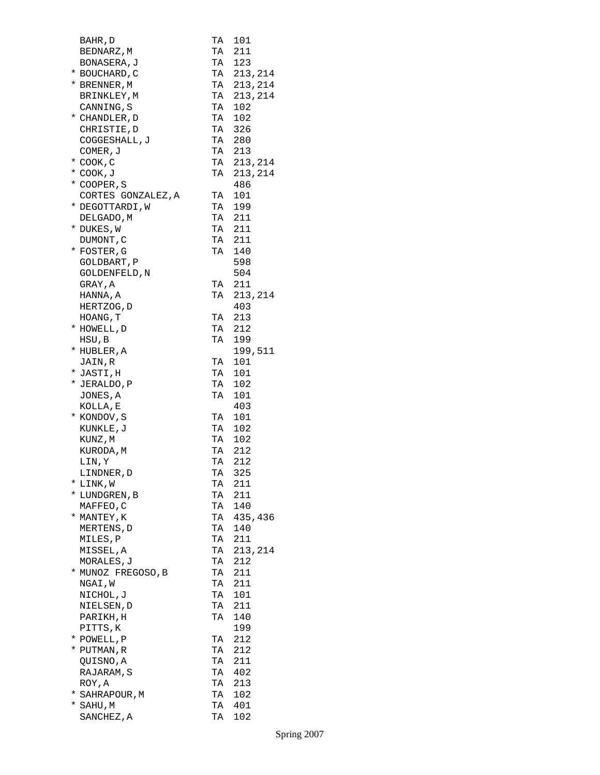| BAHR, D                   | TA | 101           |
|---------------------------|----|---------------|
| BEDNARZ, M                | TA | 211           |
| BONASERA, J               | TA | 123           |
| * BOUCHARD, C             |    | TA 213, 214   |
| * BRENNER, M              |    | TA 213, 214   |
| BRINKLEY, M               |    | TA 213, 214   |
| CANNING, S                |    | TA 102        |
| * CHANDLER, D             |    | TA 102        |
| CHRISTIE, D               |    | TA 326        |
| COGGESHALL, J             | TA | 280           |
| COMER, J                  | TA | 213           |
| * COOK , C                | TA | 213, 214      |
| * COOK, J                 |    | TA 213, 214   |
| * COOPER, S               |    | 486           |
| CORTES GONZALEZ, A        |    | TA 101        |
| * DEGOTTARDI, W           |    | TA 199        |
| DELGADO, M                |    | TA 211        |
| * DUKES, W                |    | TA 211        |
| DUMONT, C                 | TA | 211           |
| * FOSTER, G               | TA | 140           |
| GOLDBART, P               |    | 598           |
| GOLDENFELD, N             |    | 504           |
| GRAY, A                   |    | TA 211        |
| HANNA, A                  |    | TA 213, 214   |
| HERTZOG, D                |    | 403           |
| HOANG, T                  |    | TA 213        |
| * HOWELL, D               |    | TA 212        |
| HSU, B                    | TA | 199           |
| * HUBLER,A                |    | 199,511       |
| JAIN,R                    | TA | 101           |
| * JASTI,H                 | TA | 101           |
| * JERALDO, P              |    | TA 102        |
| JONES, A                  |    | TA 101        |
| KOLLA, E                  |    | 403           |
| * KONDOV, S               |    | TA 101        |
| KUNKLE,J                  |    | TA 102        |
| KUNZ,M                    | TA | 102           |
| KURODA,M                  | TA | 212<br>TA 212 |
| LIN, Y                    |    |               |
| LINDNER, D                | TA | 325           |
| * LINK,W<br>* LUNDGREN, B | TA | 211<br>TA 211 |
|                           |    | TA 140        |
| MAFFEO,C<br>* MANTEY, K   |    | TA 435,436    |
| MERTENS, D                |    | TA 140        |
| MILES, P                  | TA | 211           |
| MISSEL, A                 | TA | 213,214       |
| MORALES, J                | TA | 212           |
| * MUNOZ FREGOSO,B         |    | TA 211        |
| NGAI, W                   |    | TA 211        |
| NICHOL, J                 |    | TA 101        |
| NIELSEN,D                 |    | TA 211        |
| PARIKH,H                  |    | TA 140        |
| PITTS, K                  |    | 199           |
| * POWELL, P               | TA | 212           |
| * PUTMAN, R               | TA | 212           |
| QUISNO, A                 | TA | 211           |
| RAJARAM, S                |    | TA 402        |
| ROY, A                    |    | TA 213        |
| * SAHRAPOUR, M            |    | TA 102        |
| * SAHU,M                  |    | TA 401        |
| SANCHEZ, A                |    | TA 102        |
|                           |    |               |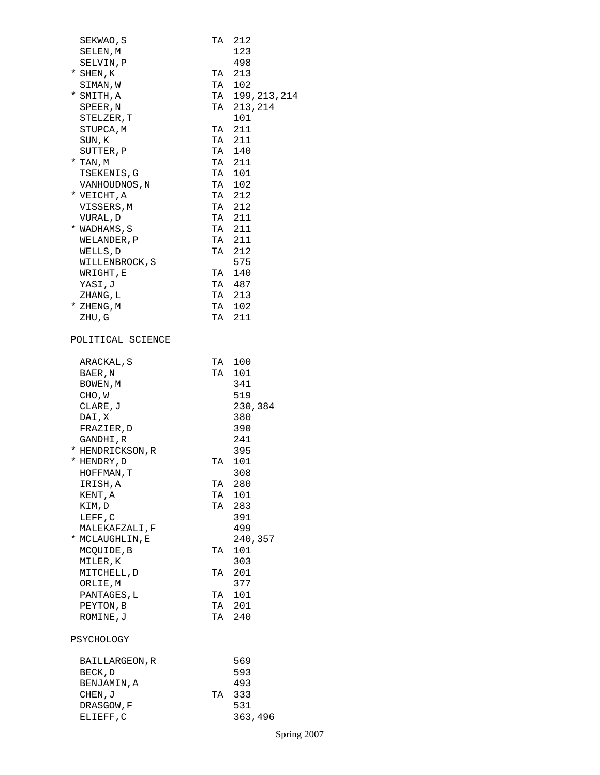| SEKWAO, S                    | TA | 212                                    |
|------------------------------|----|----------------------------------------|
| SELEN, M                     |    | 123                                    |
| SELVIN, P                    |    | 498                                    |
| * SHEN, K                    | TA | 213                                    |
| SIMAN, W                     |    | TA 102                                 |
| * SMITH, A                   |    | TA 199, 213, 214                       |
| SPEER, N                     |    | TA 213, 214                            |
| STELZER,T                    |    | 101                                    |
| STUPCA, M                    |    | TA 211                                 |
| SUN,K                        |    | TA 211                                 |
| SUTTER, P                    |    | TA 140                                 |
| * TAN,M                      | TA | $\begin{array}{c}\n211 \\ \end{array}$ |
| TSEKENIS, G                  | TA | 101                                    |
|                              |    | TA 102                                 |
| VANHOUDNOS, N<br>* VEICHT, A |    | TA 212                                 |
|                              |    | TA 212                                 |
| VISSERS,M                    |    |                                        |
| VURAL, D                     |    | TA 211                                 |
| * WADHAMS, S                 |    | TA 211                                 |
| WELANDER, P                  |    | TA 211                                 |
| WELLS, D                     |    | TA 212                                 |
| WILLENBROCK, S               |    | 575                                    |
| WRIGHT, E                    |    | TA 140                                 |
| YASI,J                       |    | TA 487                                 |
| ZHANG, L                     |    | TA 213                                 |
| * ZHENG, M                   |    | TA 102                                 |
| ZHU,G                        |    | TA 211                                 |
| POLITICAL SCIENCE            |    |                                        |
| ARACKAL, S                   |    | TA 100                                 |
| BAER, N                      | TA | 101                                    |
| BOWEN, M                     |    | 341                                    |
| CHO, W                       |    | 519                                    |
| CLARE, J                     |    | 230,384                                |
| DAI, X                       |    | 380                                    |
| FRAZIER, D                   |    | 390                                    |
| GANDHI,R                     |    | 241                                    |
| * HENDRICKSON, R             |    | 395                                    |
| * HENDRY, D                  | TA | 101                                    |
| HOFFMAN, T                   |    | 308                                    |
| IRISH, A                     | TA | 280                                    |
| KENT, A                      |    | TA 101                                 |
| KIM,D                        |    | TA 283                                 |
| LEFF, C                      |    | 391                                    |
| MALEKAFZALI, F               |    | 499                                    |
| * MCLAUGHLIN, E              |    | 240,357                                |
| MCQUIDE, B                   | TA | 101                                    |
| MILER, K                     |    | 303                                    |
| MITCHELL, D                  | TA | 201                                    |
| ORLIE, M                     |    | 377                                    |
| PANTAGES, L                  |    | TA 101                                 |
| PEYTON, B                    |    | TA 201                                 |
| ROMINE, J                    |    | TA 240                                 |
| PSYCHOLOGY                   |    |                                        |
| BAILLARGEON, R               |    | 569                                    |
| BECK, D                      |    | 593                                    |
| BENJAMIN, A                  |    | 493                                    |
| CHEN, J                      | TA | 333                                    |
| DRASGOW, F                   |    | 531                                    |
| ELIEFF, C                    |    | 363,496                                |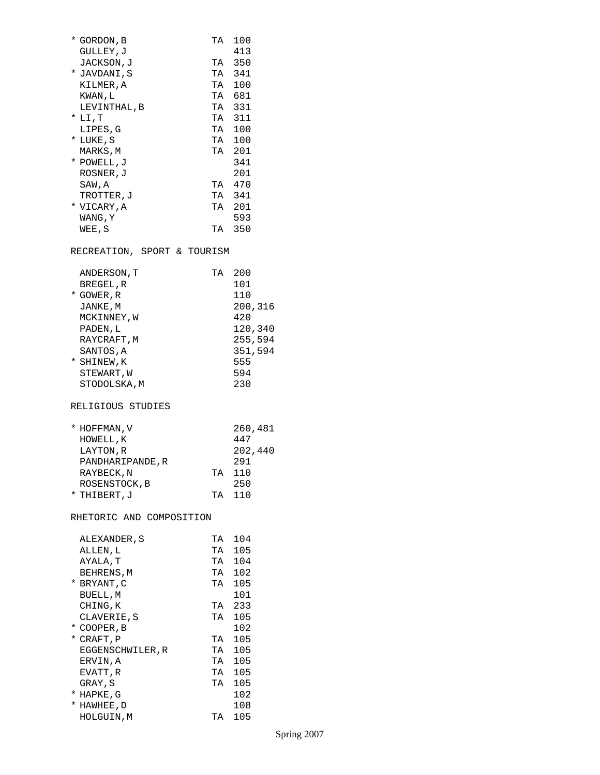| * GORDON, B                 | TA 100  |
|-----------------------------|---------|
| GULLEY, J                   | 413     |
| JACKSON, J                  | TA 350  |
| * JAVDANI,S                 | TA 341  |
| KILMER, A                   | TA 100  |
| KWAN, L                     | TA 681  |
| LEVINTHAL, B                | TA 331  |
| $^*$ LI , T                 | TA 311  |
| LIPES, G                    | TA 100  |
| * LUKE,S                    | TA 100  |
| MARKS, M                    | TA 201  |
| * POWELL, J                 | 341     |
| ROSNER, J                   | 201     |
| SAW, A                      | TA 470  |
| TROTTER, J                  | TA 341  |
| * VICARY,A                  | TA 201  |
| WANG, Y                     | 593     |
| WEE,S                       | TA 350  |
| RECREATION, SPORT & TOURISM |         |
| ANDERSON, T                 | TA 200  |
| BREGEL, R                   | 101     |
| * GOWER, R                  | 110     |
| JANKE, M                    | 200,316 |
| MCKINNEY, W                 | 420     |
| PADEN, L                    | 120,340 |
| RAYCRAFT, M                 | 255,594 |
| SANTOS, A                   | 351,594 |
| * SHINEW, K                 | 555     |
| STEWART, W                  | 594     |

STODOLSKA, M 230

\* HOFFMAN,V 260,481 HOWELL,K 447 LAYTON,R 202,440 PANDHARIPANDE,R 291 RAYBECK, N TA 110

### ROSENSTOCK, B 250 \* THIBERT, J TA 110

RELIGIOUS STUDIES

## RHETORIC AND COMPOSITION

|   | ALEXANDER , S    | TА | 104 |
|---|------------------|----|-----|
|   | ALLEN , L        | TA | 105 |
|   | AYALA, T         | TA | 104 |
|   | BEHRENS, M       | TA | 102 |
|   | * BRYANT, C      | TА | 105 |
|   | BUELL, M         |    | 101 |
|   | CHING, K         | TА | 233 |
|   | CLAVERIE, S      | ТA | 105 |
| * | COOPER, B        |    | 102 |
| * | CRAFT, P         | TA | 105 |
|   | EGGENSCHWILER, R | TA | 105 |
|   | ERVIN, A         | TА | 105 |
|   | EVATT, R         | ТA | 105 |
|   | GRAY, S          | TA | 105 |
| * | HAPKE,G          |    | 102 |
| * | HAWHEE, D        |    | 108 |
|   | HOLGUIN,M        | TА | 105 |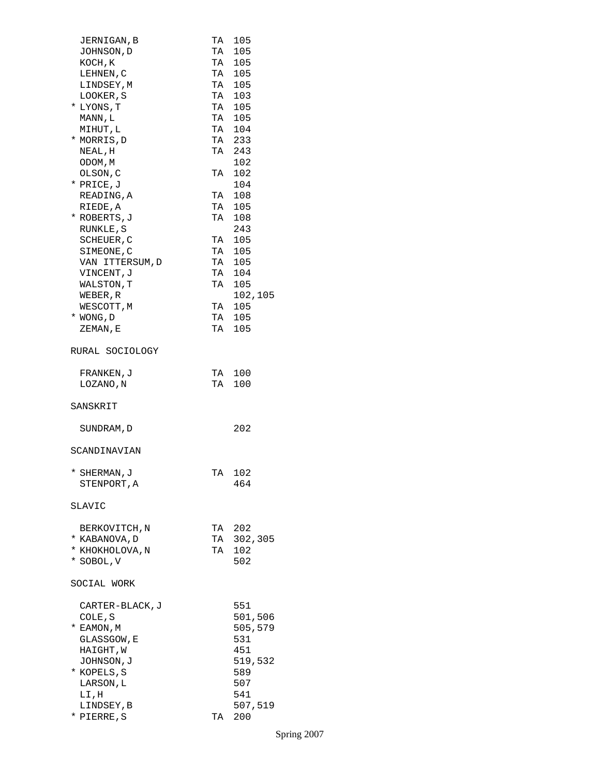| JERNIGAN, B     |    | TA 105                                                           |
|-----------------|----|------------------------------------------------------------------|
| JOHNSON, D      |    | TA 105                                                           |
| KOCH, K         |    | TA 105                                                           |
|                 |    |                                                                  |
| LEHNEN, C       |    | TA 105<br>TA 105                                                 |
| LINDSEY, M      |    |                                                                  |
| LOOKER, S       |    | $\begin{array}{cc}\n111 & 103 \\ \hline\nT A & 103\n\end{array}$ |
| * LYONS, T      |    | TA 105                                                           |
|                 |    | TA 105                                                           |
| MANN, L         |    |                                                                  |
| MIHUT, L        |    | TA 104                                                           |
| * MORRIS, D     |    | TA 233                                                           |
| NEAL, H         |    | TA 243                                                           |
|                 |    | 102                                                              |
| ODOM, M         |    |                                                                  |
| OLSON, C        | TA | 102                                                              |
| * PRICE, J      |    | 104                                                              |
| READING, A      |    | TA 108                                                           |
| RIEDE, A        | TA | 105                                                              |
|                 |    |                                                                  |
| * ROBERTS, J    |    | TA 108                                                           |
| RUNKLE, S       |    | 243                                                              |
| SCHEUER, C      |    | TA 105                                                           |
| SIMEONE, C      |    | TA 105                                                           |
|                 |    |                                                                  |
| VAN ITTERSUM, D |    | TA 105                                                           |
| VINCENT, J      |    | TA 104<br>TA 105                                                 |
| WALSTON, T      |    |                                                                  |
| WEBER, R        |    | 102,105                                                          |
|                 |    | TA 105                                                           |
| WESCOTT, M      |    |                                                                  |
| * WONG, D       |    | TA 105                                                           |
| ZEMAN, E        | TA | 105                                                              |
|                 |    |                                                                  |
| RURAL SOCIOLOGY |    |                                                                  |
| FRANKEN, J      |    | TA 100                                                           |
|                 |    |                                                                  |
| LOZANO, N       |    | TA 100                                                           |
|                 |    |                                                                  |
| SANSKRIT        |    |                                                                  |
|                 |    |                                                                  |
|                 |    |                                                                  |
| SUNDRAM, D      |    | 202                                                              |
|                 |    |                                                                  |
| SCANDINAVIAN    |    |                                                                  |
|                 |    |                                                                  |
| * SHERMAN, J    | TA | 102                                                              |
|                 |    |                                                                  |
| STENPORT, A     |    | 464                                                              |
|                 |    |                                                                  |
| SLAVIC          |    |                                                                  |
|                 |    |                                                                  |
|                 |    |                                                                  |
| BERKOVITCH, N   |    | TA 202                                                           |
| * KABANOVA, D   |    | TA 302,305                                                       |
| * KHOKHOLOVA, N | TA | 102                                                              |
| * SOBOL, V      |    | 502                                                              |
|                 |    |                                                                  |
| SOCIAL WORK     |    |                                                                  |
|                 |    |                                                                  |
| CARTER-BLACK, J |    | 551                                                              |
| COLE, S         |    | 501,506                                                          |
| * EAMON, M      |    | 505,579                                                          |
|                 |    | 531                                                              |
| GLASSGOW, E     |    |                                                                  |
| HAIGHT, W       |    | 451                                                              |
| JOHNSON, J      |    | 519,532                                                          |
| * KOPELS,S      |    | 589                                                              |
|                 |    | 507                                                              |
| LARSON, L       |    |                                                                  |
| LI,H            |    | 541                                                              |
| LINDSEY, B      |    | 507,519                                                          |
| * PIERRE, S     | TA | 200                                                              |
|                 |    |                                                                  |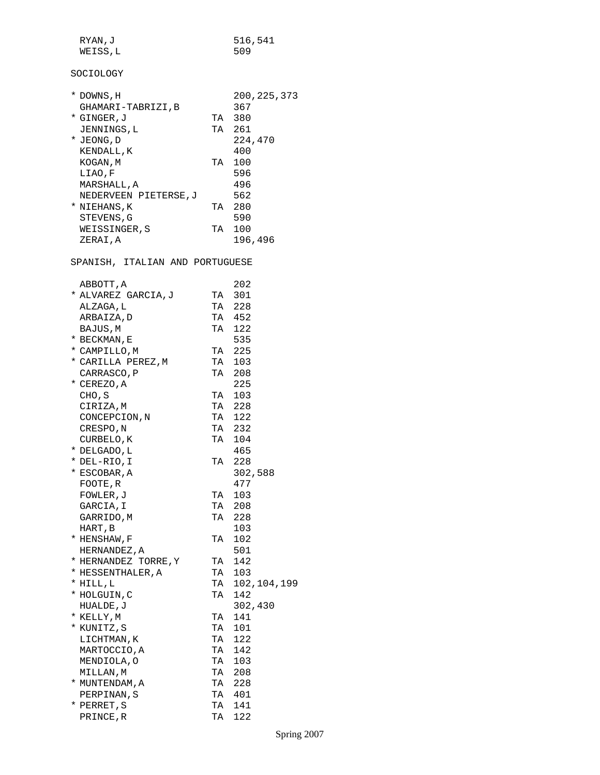| RYAN, J  | 516,541 |
|----------|---------|
| WEISS, L | 509     |

# SOCIOLOGY

|                      |                                                            | 200, 225, 373 |
|----------------------|------------------------------------------------------------|---------------|
| GHAMARI-TABRIZI, B   |                                                            | 367           |
|                      |                                                            | 380           |
| JENNINGS, L          |                                                            | 261           |
|                      |                                                            | 224,470       |
| KENDALL, K           |                                                            | 400           |
| KOGAN, M             | TA                                                         | 100           |
| LIAO, F              |                                                            | 596           |
| MARSHALL, A          |                                                            | 496           |
| NEDERVEEN PIETERSE.J |                                                            | 562           |
|                      | TA                                                         | 280           |
| STEVENS, G           |                                                            | 590           |
| WEISSINGER, S        | TA                                                         | 100           |
| ZERAI,A              |                                                            | 196,496       |
|                      | DOWNS, H<br>*<br>* GINGER, J<br>* JEONG, D<br>* NIEHANS, K | TA<br>TA      |

SPANISH, ITALIAN AND PORTUGUESE

| 202<br>ABBOTT, A<br>TA 301<br>* ALVAREZ GARCIA, J<br>TA 228<br>ALZAGA, L<br>TA 452<br>ARBAIZA, D<br>TA 122<br>BAJUS, M<br>535<br>* BECKMAN, E<br>225<br>* CAMPILLO, M<br>TA<br>TA 103<br>* CARILLA PEREZ, M<br>TA 208<br>CARRASCO, P<br>225<br>* CEREZO, A<br>CHO, S<br>TA 103<br>CIRIZA, M<br>TA 228 |
|-------------------------------------------------------------------------------------------------------------------------------------------------------------------------------------------------------------------------------------------------------------------------------------------------------|
|                                                                                                                                                                                                                                                                                                       |
|                                                                                                                                                                                                                                                                                                       |
|                                                                                                                                                                                                                                                                                                       |
|                                                                                                                                                                                                                                                                                                       |
|                                                                                                                                                                                                                                                                                                       |
|                                                                                                                                                                                                                                                                                                       |
|                                                                                                                                                                                                                                                                                                       |
|                                                                                                                                                                                                                                                                                                       |
|                                                                                                                                                                                                                                                                                                       |
|                                                                                                                                                                                                                                                                                                       |
|                                                                                                                                                                                                                                                                                                       |
|                                                                                                                                                                                                                                                                                                       |
| TA<br>122<br>CONCEPCION, N                                                                                                                                                                                                                                                                            |
| 232<br>CRESPO, N<br>TA                                                                                                                                                                                                                                                                                |
| TA 104<br>CURBELO, K                                                                                                                                                                                                                                                                                  |
| 465<br>* DELGADO, L                                                                                                                                                                                                                                                                                   |
| TA 228<br>* DEL-RIO,I                                                                                                                                                                                                                                                                                 |
| 302,588<br>* ESCOBAR, A                                                                                                                                                                                                                                                                               |
| 477<br>FOOTE, R                                                                                                                                                                                                                                                                                       |
| TA 103<br>FOWLER, J                                                                                                                                                                                                                                                                                   |
| TA 208<br>GARCIA, I                                                                                                                                                                                                                                                                                   |
| TA 228<br>GARRIDO, M                                                                                                                                                                                                                                                                                  |
| 103<br>HART, B                                                                                                                                                                                                                                                                                        |
| TA 102<br>* HENSHAW, F                                                                                                                                                                                                                                                                                |
| 501<br>HERNANDEZ, A                                                                                                                                                                                                                                                                                   |
| 142<br>* HERNANDEZ TORRE, Y<br>TA                                                                                                                                                                                                                                                                     |
| TA<br>-<br>103<br>* HESSENTHALER, A                                                                                                                                                                                                                                                                   |
| TA 102,104,199<br>* HILL, L                                                                                                                                                                                                                                                                           |
| TA 142<br>* HOLGUIN,C                                                                                                                                                                                                                                                                                 |
| 302,430<br>HUALDE, J                                                                                                                                                                                                                                                                                  |
| * KELLY, M<br>TA 141                                                                                                                                                                                                                                                                                  |
| TA 101<br>* KUNITZ,S                                                                                                                                                                                                                                                                                  |
| 122<br>TA<br>LICHTMAN, K                                                                                                                                                                                                                                                                              |
| TA 142<br>MARTOCCIO, A                                                                                                                                                                                                                                                                                |
| TA 103<br>MENDIOLA, O                                                                                                                                                                                                                                                                                 |
| TA 208<br>MILLAN, M                                                                                                                                                                                                                                                                                   |
| TA 228<br>* MUNTENDAM, A                                                                                                                                                                                                                                                                              |
| TA 401<br>PERPINAN, S                                                                                                                                                                                                                                                                                 |
| TA 141<br>* PERRET, S                                                                                                                                                                                                                                                                                 |
| TA<br>122<br>PRINCE, R                                                                                                                                                                                                                                                                                |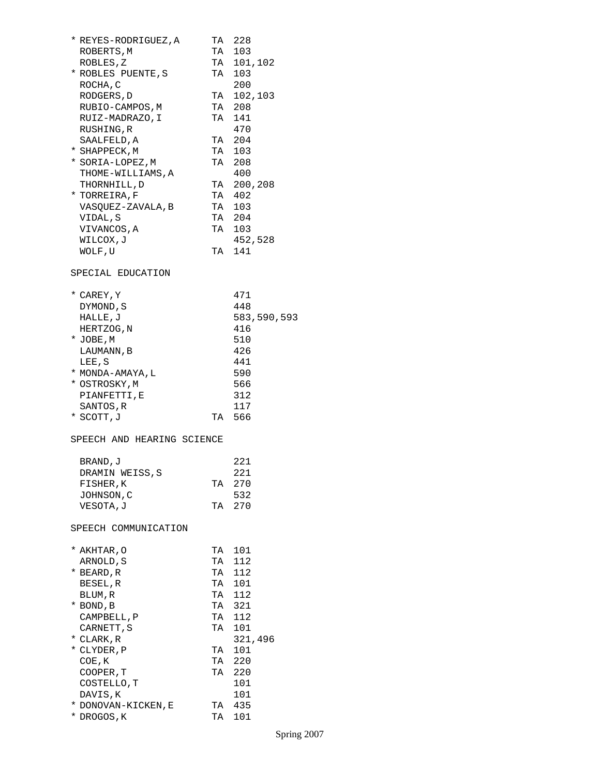| * REYES-RODRIGUEZ,A        |    | TA 228      |
|----------------------------|----|-------------|
| ROBERTS, M                 |    | TA 103      |
| ROBLES, Z                  |    | TA 101,102  |
| * ROBLES PUENTE, S         |    | TA 103      |
| ROCHA, C                   |    | 200         |
| RODGERS, D                 |    | TA 102,103  |
| RUBIO-CAMPOS, M            |    | TA 208      |
| RUIZ-MADRAZO, I            |    | TA 141      |
| RUSHING, R                 |    | 470         |
| SAALFELD, A                |    | TA 204      |
| * SHAPPECK,M               |    | TA 103      |
| * SORIA-LOPEZ, M           |    | TA 208      |
| THOME-WILLIAMS, A          |    | 400         |
| THORNHILL, D               |    | TA 200,208  |
| * TORREIRA, F              |    | TA 402      |
| VASQUEZ-ZAVALA, B          |    | TA 103      |
| VIDAL,S                    |    | TA 204      |
| VIVANCOS, A                |    | TA 103      |
| <b>WILCOX, J</b>           |    | 452,528     |
| WOLF, U                    |    | TA 141      |
| SPECIAL EDUCATION          |    |             |
|                            |    |             |
| * CAREY, Y                 |    | 471         |
| DYMOND, S                  |    | 448         |
| HALLE, J                   |    | 583,590,593 |
| HERTZOG, N                 |    | 416         |
| * JOBE, M                  |    | 510         |
| LAUMANN, B                 |    | 426         |
| LEE, S                     |    | 441         |
| * MONDA-AMAYA, L           |    | 590         |
| * OSTROSKY,M               |    | 566         |
| PIANFETTI, E               |    | 312         |
| SANTOS, R                  |    | 117         |
| * SCOTT, J                 |    | TA 566      |
| SPEECH AND HEARING SCIENCE |    |             |
| BRAND, J                   |    | 221         |
| DRAMIN WEISS, S            |    | 221         |
| FISHER, K                  | TA | 270         |
| JOHNSON,C                  |    | 532         |
| VESOTA, J                  |    | TA 270      |
| SPEECH COMMUNICATION       |    |             |
|                            |    |             |
| * AKHTAR,0                 |    | TA 101      |
| ARNOLD, S                  | TA | 112         |
| * BEARD, R                 | TA | 112         |
| BESEL, R                   |    | TA 101      |
| BLUM, R                    |    | TA 112      |
| * BOND, B                  |    | TA 321      |
| CAMPBELL, P                |    | TA 112      |
| CARNETT, S                 |    | TA 101      |
| * CLARK, R                 |    | 321,496     |
| * CLYDER, P                |    | TA 101      |
| COE, K                     | TA | -220        |
| COOPER, T                  | TA | -220        |
| COSTELLO, T                |    | 101         |
| DAVIS,K                    |    | 101         |
| * DONOVAN-KICKEN, E        |    | TA 435      |
| * DROGOS, K                | TA | 101         |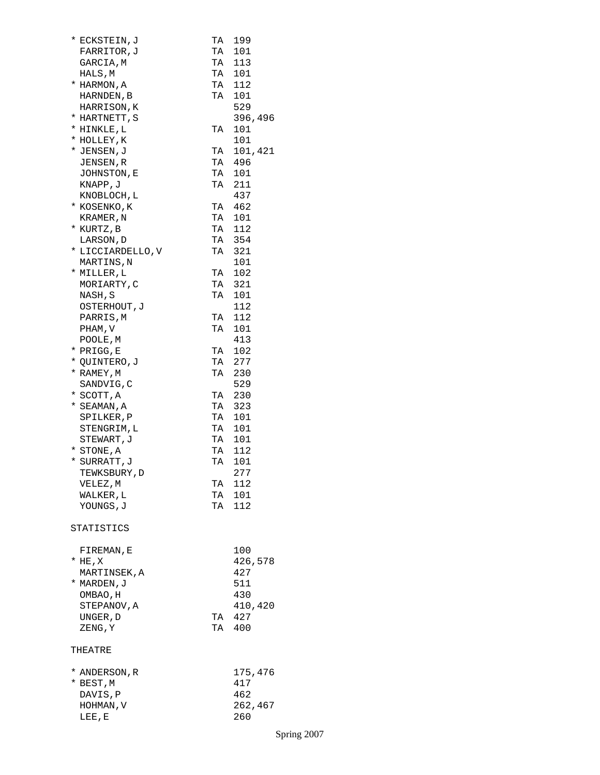| * ECKSTEIN, J     | TA       | 199     |
|-------------------|----------|---------|
| FARRITOR, J       | TA       | 101     |
| GARCIA, M         | TA       | 113     |
|                   |          | 101     |
| HALS, M           | TA<br>TA |         |
| * HARMON, A       |          | 112     |
| HARNDEN, B        | TA       | 101     |
| HARRISON, K       |          | 529     |
|                   |          | 396,496 |
| * HARTNETT, S     |          |         |
| * HINKLE, L       | TA       | 101     |
| * HOLLEY, K       |          | 101     |
| * JENSEN, J       | TA       | 101,421 |
| JENSEN, R         | TA       | 496     |
|                   |          |         |
| JOHNSTON, E       | TA       | 101     |
| KNAPP, J          | TA       | 211     |
| KNOBLOCH, L       |          | 437     |
| * KOSENKO,K       |          | TA 462  |
|                   | TA       | 101     |
| KRAMER, N         |          |         |
| * KURTZ, B        |          | TA 112  |
| LARSON, D         |          | TA 354  |
| * LICCIARDELLO, V |          | TA 321  |
| MARTINS,N         |          | 101     |
|                   |          |         |
| * MILLER, L       | TA       | 102     |
| MORIARTY, C       | TA       | 321     |
| NASH, S           | TA       | 101     |
| OSTERHOUT, J      |          | 112     |
| PARRIS, M         | TA       | 112     |
|                   |          |         |
| PHAM, V           | TA       | 101     |
| POOLE, M          |          | 413     |
| * PRIGG,E         | TA       | 102     |
| * QUINTERO, J     | TA       | 277     |
|                   |          |         |
| * RAMEY, M        | TA       | 230     |
| SANDVIG, C        |          | 529     |
| * SCOTT, A        | TA       | 230     |
| * SEAMAN,A        | TA       | 323     |
|                   | TA       |         |
| SPILKER, P        |          | 101     |
| STENGRIM, L       | TA       | 101     |
| STEWART, J        |          | TA 101  |
| * STONE, A        |          | TA 112  |
| * SURRATT, J      | TA       | 101     |
|                   |          |         |
| TEWKSBURY, D      |          | 277     |
| VELEZ, M          | TA       | 112     |
| WALKER, L         | TA       | 101     |
| YOUNGS, J         | TA       | 112     |
|                   |          |         |
| STATISTICS        |          |         |
|                   |          |         |
| FIREMAN, E        |          | 100     |
| $*$ HE, X         |          | 426,578 |
|                   |          |         |
| MARTINSEK, A      |          | 427     |
| * MARDEN, J       |          | 511     |
| OMBAO, H          |          | 430     |
| STEPANOV, A       |          | 410,420 |
| UNGER, D          | TA       | 427     |
|                   |          |         |
| ZENG, Y           |          | TA 400  |
| THEATRE           |          |         |
|                   |          |         |
| * ANDERSON, R     |          | 175,476 |
| * BEST, M         |          | 417     |
| DAVIS, P          |          | 462     |
| HOHMAN, V         |          | 262,467 |
| LEE, E            |          | 260     |
|                   |          |         |